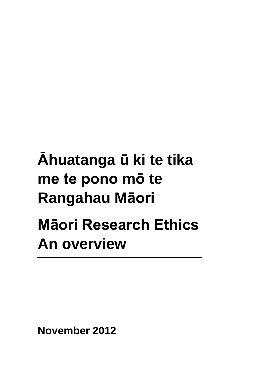# **Āhuatanga ū ki te tika me te pono mō te Rangahau Māori Māori Research Ethics An overview**

**November 2012**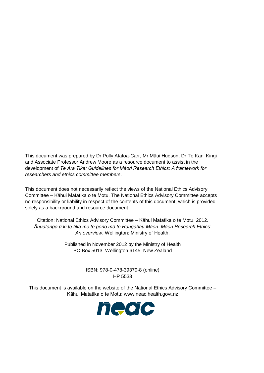This document was prepared by Dr Polly Atatoa-Carr, Mr Māui Hudson, Dr Te Kani Kingi and Associate Professor Andrew Moore as a resource document to assist in the development of *Te Ara Tika: Guidelines for Māori Research Ethics: A framework for researchers and ethics committee members*.

This document does not necessarily reflect the views of the National Ethics Advisory Committee – Kāhui Matatika o te Motu. The National Ethics Advisory Committee accepts no responsibility or liability in respect of the contents of this document, which is provided solely as a background and resource document.

Citation: National Ethics Advisory Committee – Kāhui Matatika o te Motu. 2012. *Āhuatanga ū ki te tika me te pono mō te Rangahau Māori: Māori Research Ethics: An overview*. Wellington: Ministry of Health.

> Published in November 2012 by the Ministry of Health PO Box 5013, Wellington 6145, New Zealand

> > ISBN: 978-0-478-39379-8 (online) HP 5538

This document is available on the website of the National Ethics Advisory Committee – Kāhui Matatika o te Motu: [www.neac.health.govt.nz](http://www.neac.health.govt.nz/)

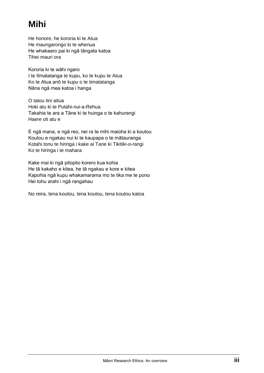# **Mihi**

He honore, he kororia ki te Atua He maungarongo ki te whenua He whakaaro pai ki ngā tāngata katoa Tihei mauri ora

Kororia ki te wāhi ngaro I te tīmatatanga te kupu, ko te kupu te Atua Ko te Atua anō te kupu o te timatatanga Nāna ngā mea katoa i hanga

O tatou tini aitua Hoki atu ki te Putahi-nui-a-Rehua Takahia te ara a Tāne ki te huinga o te kahurangi Haere oti atu e

E ngā mana, e ngā reo, nei ra te mihi maioha ki a koutou Koutou e ngakau nui ki te kaupapa o te mātauranga Kotahi tonu te hiringa i kake ai Tane ki Tikitiki-o-rangi Ko te hiringa i te mahara

Kake mai ki ngā pitopito korero kua kohia He tā kakaho e kitea, he tā ngakau e kore e kitea Kapohia ngā kupu whakamarama mo te tika me te pono Hei tohu arahi i ngā rangahau

No reira, tena koutou, tena koutou, tena koutou katoa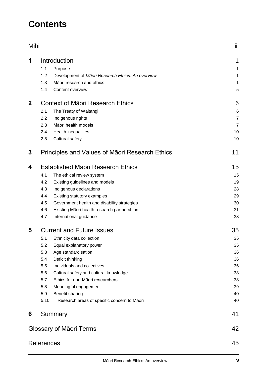# **Contents**

| Mihi        |                   |                                                                                | Ϊij              |  |
|-------------|-------------------|--------------------------------------------------------------------------------|------------------|--|
| 1           |                   | Introduction                                                                   | 1                |  |
|             | 1.1               | Purpose                                                                        | 1                |  |
|             | 1.2<br>1.3        | Development of Māori Research Ethics: An overview<br>Māori research and ethics | 1                |  |
|             | 1.4               | Content overview                                                               | $\mathbf 1$<br>5 |  |
| $\mathbf 2$ |                   | <b>Context of Maori Research Ethics</b>                                        | 6                |  |
|             | 2.1               | The Treaty of Waitangi                                                         | 6                |  |
|             | 2.2               | Indigenous rights                                                              | $\overline{7}$   |  |
|             | 2.3               | Māori health models                                                            | $\overline{7}$   |  |
|             | 2.4               | Health inequalities                                                            | 10               |  |
|             | 2.5               | Cultural safety                                                                | 10               |  |
| 3           |                   | Principles and Values of Maori Research Ethics                                 | 11               |  |
| 4           |                   | Established Māori Research Ethics                                              | 15               |  |
|             | 4.1               | The ethical review system                                                      | 15               |  |
|             | 4.2               | Existing guidelines and models                                                 | 19               |  |
|             | 4.3               | Indigenous declarations                                                        | 28               |  |
|             | 4.4               | Existing statutory examples                                                    | 29               |  |
|             | 4.5               | Government health and disability strategies                                    | 30               |  |
|             | 4.6               | Existing Māori health research partnerships                                    | 31               |  |
|             | 4.7               | International guidance                                                         | 33               |  |
| 5           |                   | <b>Current and Future Issues</b>                                               | 35               |  |
|             | 5.1               | Ethnicity data collection                                                      | 35               |  |
|             | 5.2               | Equal explanatory power                                                        | 35               |  |
|             | 5.3               | Age standardisation                                                            | 36               |  |
|             | 5.4               | Deficit thinking                                                               | 36               |  |
|             | 5.5               | Individuals and collectives                                                    | 36               |  |
|             | 5.6               | Cultural safety and cultural knowledge                                         | 38               |  |
|             | 5.7               | Ethics for non-Māori researchers                                               | 38               |  |
|             | 5.8               | Meaningful engagement                                                          | 39               |  |
|             | 5.9               | Benefit sharing                                                                | 40               |  |
|             | 5.10              | Research areas of specific concern to Māori                                    | 40               |  |
| 6           |                   | Summary                                                                        | 41               |  |
|             |                   | Glossary of Māori Terms                                                        | 42               |  |
|             | <b>References</b> |                                                                                | 45               |  |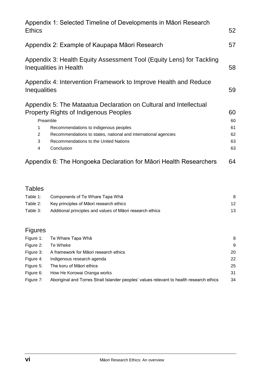| <b>Ethics</b>                                                                                  | Appendix 1: Selected Timeline of Developments in Māori Research   | 52 |
|------------------------------------------------------------------------------------------------|-------------------------------------------------------------------|----|
|                                                                                                |                                                                   |    |
|                                                                                                | Appendix 2: Example of Kaupapa Māori Research                     | 57 |
| Appendix 3: Health Equity Assessment Tool (Equity Lens) for Tackling<br>Inequalities in Health |                                                                   |    |
| Inequalities                                                                                   | Appendix 4: Intervention Framework to Improve Health and Reduce   | 59 |
|                                                                                                | Appendix 5: The Mataatua Declaration on Cultural and Intellectual |    |
|                                                                                                | <b>Property Rights of Indigenous Peoples</b>                      | 60 |
|                                                                                                | Preamble                                                          | 60 |
| 1                                                                                              | Recommendations to indigenous peoples                             | 61 |
| 2                                                                                              | Recommendations to states, national and international agencies    | 62 |
| 3                                                                                              | Recommendations to the United Nations                             | 63 |
| 4                                                                                              | Conclusion                                                        | 63 |
|                                                                                                | Appendix 6: The Hongoeka Declaration for Maori Health Researchers | 64 |

# **Tables**

| Table 1: | Components of Te Whare Tapa Wha                           |    |
|----------|-----------------------------------------------------------|----|
| Table 2: | Key principles of Māori research ethics                   | 12 |
| Table 3: | Additional principles and values of Maori research ethics |    |

# Figures

|           | Figure 1: Te Whare Tapa Wha                                                              | 8  |
|-----------|------------------------------------------------------------------------------------------|----|
| Figure 2: | Te Wheke                                                                                 | 9  |
| Figure 3: | A framework for Māori research ethics                                                    | 20 |
| Figure 4: | Indigenous research agenda                                                               | 22 |
| Figure 5: | The koru of Māori ethics                                                                 | 25 |
| Figure 6: | How He Korowai Oranga works                                                              | 31 |
| Figure 7: | Aboriginal and Torres Strait Islander peoples' values relevant to health research ethics | 34 |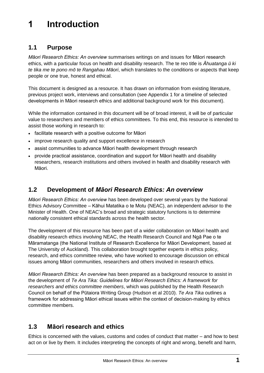# **1 Introduction**

### **1.1 Purpose**

*Māori Research Ethics: An overview* summarises writings on and issues for Māori research ethics, with a particular focus on health and disability research. The te reo title is *Āhuatanga ū ki te tika me te pono mō te Rangahau Māori*, which translates to the conditions or aspects that keep people or one true, honest and ethical.

This document is designed as a resource. It has drawn on information from existing literature, previous project work, interviews and consultation (see Appendix 1 for a timeline of selected developments in Māori research ethics and additional background work for this document).

While the information contained in this document will be of broad interest, it will be of particular value to researchers and members of ethics committees. To this end, this resource is intended to assist those working in research to:

- facilitate research with a positive outcome for Māori
- improve research quality and support excellence in research
- assist communities to advance Māori health development through research
- provide practical assistance, coordination and support for Māori health and disability researchers, research institutions and others involved in health and disability research with Māori.

### **1.2 Development of** *Māori Research Ethics: An overview*

*Māori Research Ethics: An overview* has been developed over several years by the National Ethics Advisory Committee – Kāhui Matatika o te Motu (NEAC), an independent advisor to the Minister of Health. One of NEAC's broad and strategic statutory functions is to determine nationally consistent ethical standards across the health sector.

The development of this resource has been part of a wider collaboration on Māori health and disability research ethics involving NEAC, the Health Research Council and Ngā Pae o te Māramatanga (the National Institute of Research Excellence for Māori Development, based at The University of Auckland). This collaboration brought together experts in ethics policy, research, and ethics committee review, who have worked to encourage discussion on ethical issues among Māori communities, researchers and others involved in research ethics.

*Māori Research Ethics: An overview* has been prepared as a background resource to assist in the development of *Te Ara Tika: Guidelines for Māori Research Ethics: A framework for researchers and ethics committee members*, which was published by the Health Research Council on behalf of the Pūtaiora Writing Group (Hudson et al 2010). *Te Ara Tika* outlines a framework for addressing Māori ethical issues within the context of decision-making by ethics committee members.

# **1.3 Māori research and ethics**

Ethics is concerned with the values, customs and codes of conduct that matter – and how to best act on or live by them. It includes interpreting the concepts of right and wrong, benefit and harm,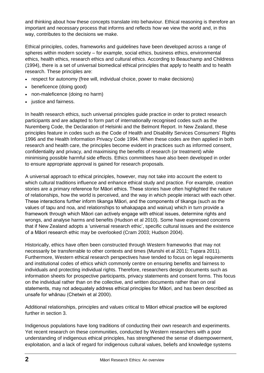and thinking about how these concepts translate into behaviour. Ethical reasoning is therefore an important and necessary process that informs and reflects how we view the world and, in this way, contributes to the decisions we make.

Ethical principles, codes, frameworks and guidelines have been developed across a range of spheres within modern society – for example, social ethics, business ethics, environmental ethics, health ethics, research ethics and cultural ethics. According to Beauchamp and Childress (1994), there is a set of universal biomedical ethical principles that apply to health and to health research. These principles are:

- respect for autonomy (free will, individual choice, power to make decisions)
- beneficence (doing good)
- non-maleficence (doing no harm)
- iustice and fairness.

In health research ethics, such universal principles guide practice in order to protect research participants and are adapted to form part of internationally recognised codes such as the Nuremberg Code, the Declaration of Helsinki and the Belmont Report. In New Zealand, these principles feature in codes such as the Code of Health and Disability Services Consumers' Rights 1996 and the Health Information Privacy Code 1994. When these codes are then applied in both research and health care, the principles become evident in practices such as informed consent, confidentiality and privacy, and maximising the benefits of research (or treatment) while minimising possible harmful side effects. Ethics committees have also been developed in order to ensure appropriate approval is gained for research proposals.

A universal approach to ethical principles, however, may not take into account the extent to which cultural traditions influence and enhance ethical study and practice. For example, creation stories are a primary reference for Māori ethics. These stories have often highlighted the nature of relationships, how the world is perceived, and the way in which people interact with each other. These interactions further inform tikanga Māori, and the components of tikanga (such as the values of tapu and noa, and relationships to whakapapa and wairua) which in turn provide a framework through which Māori can actively engage with ethical issues, determine rights and wrongs, and analyse harms and benefits (Hudson et al 2010). Some have expressed concerns that if New Zealand adopts a 'universal research ethic', specific cultural issues and the existence of a Māori research ethic may be overlooked (Cram 2003; Hudson 2004).

Historically, ethics have often been constructed through Western frameworks that may not necessarily be transferrable to other contexts and times (Munshi et al 2011; Tupara 2011). Furthermore, Western ethical research perspectives have tended to focus on legal requirements and institutional codes of ethics which commonly centre on ensuring benefits and fairness to individuals and protecting individual rights. Therefore, researchers design documents such as information sheets for prospective participants, privacy statements and consent forms. This focus on the individual rather than on the collective, and written documents rather than on oral statements, may not adequately address ethical principles for Māori, and has been described as unsafe for whānau (Chetwin et al 2000).

Additional relationships, principles and values critical to Māori ethical practice will be explored further in section 3.

Indigenous populations have long traditions of conducting their own research and experiments. Yet recent research on these communities, conducted by Western researchers with a poor understanding of indigenous ethical principles, has strengthened the sense of disempowerment, exploitation, and a lack of regard for indigenous cultural values, beliefs and knowledge systems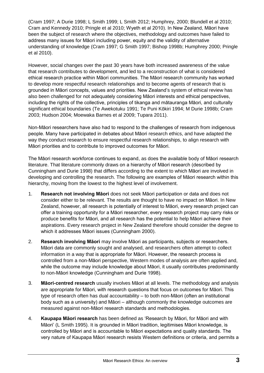(Cram 1997; A Durie 1998; L Smith 1999; L Smith 2012; Humphrey, 2000; Blundell et al 2010; Cram and Kennedy 2010; Pringle et al 2010; Wyeth et al 2010). In New Zealand, Māori have been the subject of research where the objectives, methodology and outcomes have failed to address many issues for Māori including power, equity and the validity of alternative understanding of knowledge (Cram 1997; G Smith 1997; Bishop 1998b; Humphrey 2000; Pringle et al 2010).

However, social changes over the past 30 years have both increased awareness of the value that research contributes to development, and led to a reconstruction of what is considered ethical research practice within Māori communities. The Māori research community has worked to develop more respectful research relationships and to become agents of research that is grounded in Māori concepts, values and priorities. New Zealand's system of ethical review has also been challenged for not adequately considering Māori interests and ethical perspectives, including the rights of the collective, principles of tikanga and mātauranga Māori, and culturally significant ethical boundaries (Te Awekotuku 1991; Te Puni Kōkiri 1994; M Durie 1998b; Cram 2003; Hudson 2004; Moewaka Barnes et al 2009; Tupara 2011).

Non-Māori researchers have also had to respond to the challenges of research from indigenous people. Many have participated in debates about Māori research ethics, and have adapted the way they conduct research to ensure respectful research relationships, to align research with Māori priorities and to contribute to improved outcomes for Māori.

The Māori research workforce continues to expand, as does the available body of Māori research literature. That literature commonly draws on a hierarchy of Māori research (described by Cunningham and Durie 1998) that differs according to the extent to which Māori are involved in developing and controlling the research. The following are examples of Māori research within this hierarchy, moving from the lowest to the highest level of involvement.

- 1. **Research not involving Māori** does not seek Māori participation or data and does not consider either to be relevant. The results are thought to have no impact on Māori. In New Zealand, however, all research is potentially of interest to Māori, every research project can offer a training opportunity for a Māori researcher, every research project may carry risks or produce benefits for Māori, and all research has the potential to help Māori achieve their aspirations. Every research project in New Zealand therefore should consider the degree to which it addresses Māori issues (Cunningham 2000).
- 2. **Research involving Māori** may involve Māori as participants, subjects or researchers. Māori data are commonly sought and analysed, and researchers often attempt to collect information in a way that is appropriate for Māori. However, the research process is controlled from a non-Māori perspective, Western modes of analysis are often applied and, while the outcome may include knowledge about Māori, it usually contributes predominantly to non-Māori knowledge (Cunningham and Durie 1998).
- 3. **Māori-centred research** usually involves Māori at all levels. The methodology and analysis are appropriate for Māori, with research questions that focus on outcomes for Māori. This type of research often has dual accountability – to both non-Māori (often an institutional body such as a university) and Māori – although commonly the knowledge outcomes are measured against non-Māori research standards and methodologies.
- 4. **Kaupapa Māori research** has been defined as 'Research by Māori, for Māori and with Māori' (L Smith 1995). It is grounded in Māori tradition, legitimises Māori knowledge, is controlled by Māori and is accountable to Māori expectations and quality standards. The very nature of Kaupapa Māori research resists Western definitions or criteria, and permits a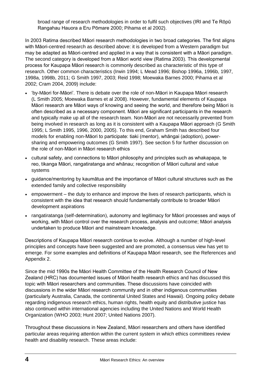broad range of research methodologies in order to fulfil such objectives (IRI and Te Rōpū Rangahau Hauora a Eru Pōmare 2000; Pihama et al 2002).

In 2003 Ratima described Māori research methodologies in two broad categories. The first aligns with Māori-centred research as described above: it is developed from a Western paradigm but may be adapted as Māori-centred and applied in a way that is consistent with a Māori paradigm. The second category is developed from a Māori world view (Ratima 2003). This developmental process for Kaupapa Māori research is commonly described as characteristic of this type of research. Other common characteristics (Irwin 1994; L Mead 1996; Bishop 1996a, 1996b, 1997, 1998a, 1998b, 2011; G Smith 1997, 2003; Reid 1998; Moewaka Barnes 2000; Pihama et al 2002; Cram 2004, 2009) include:

- 'by-Māori for-Māori'. There is debate over the role of non-Māori in Kaupapa Māori research (L Smith 2005; Moewaka Barnes et al 2008). However, fundamental elements of Kaupapa Māori research are Māori ways of knowing and seeing the world, and therefore being Māori is often described as a necessary component. Māori are significant participants in the research and typically make up all of the research team. Non-Māori are not necessarily prevented from being involved in research as long as it is consistent with a Kaupapa Māori approach (G Smith 1995; L Smith 1995, 1996, 2000, 2005). To this end, Graham Smith has described four models for enabling non-Māori to participate: tiaki (mentor), whāngai (adoption), powersharing and empowering outcomes (G Smith 1997). See section 5 for further discussion on the role of non-Māori in Māori research ethics
- cultural safety, and connections to Māori philosophy and principles such as whakapapa, te reo, tikanga Māori, rangatiratanga and whānau; recognition of Māori cultural and value systems
- guidance/mentoring by kaumātua and the importance of Māori cultural structures such as the extended family and collective responsibility
- empowerment the duty to enhance and improve the lives of research participants, which is consistent with the idea that research should fundamentally contribute to broader Māori development aspirations
- rangatiratanga (self-determination), autonomy and legitimacy for Māori processes and ways of working, with Māori control over the research process, analysis and outcome; Māori analysis undertaken to produce Māori and mainstream knowledge.

Descriptions of Kaupapa Māori research continue to evolve. Although a number of high-level principles and concepts have been suggested and are promoted, a consensus view has yet to emerge. For some examples and definitions of Kaupapa Māori research, see the References and Appendix 2.

Since the mid 1990s the Māori Health Committee of the Health Research Council of New Zealand (HRC) has documented issues of Māori health research ethics and has discussed this topic with Māori researchers and communities. These discussions have coincided with discussions in the wider Māori research community and in other indigenous communities (particularly Australia, Canada, the continental United States and Hawaii). Ongoing policy debate regarding indigenous research ethics, human rights, health equity and distributive justice has also continued within international agencies including the United Nations and World Health Organization (WHO 2003; Hunt 2007; United Nations 2007).

Throughout these discussions in New Zealand, Māori researchers and others have identified particular areas requiring attention within the current system in which ethics committees review health and disability research. These areas include: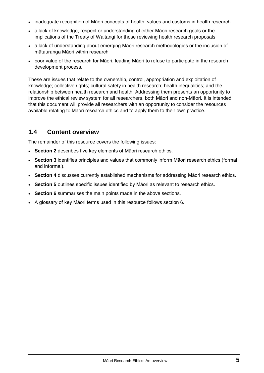- inadequate recognition of Māori concepts of health, values and customs in health research
- a lack of knowledge, respect or understanding of either Māori research goals or the implications of the Treaty of Waitangi for those reviewing health research proposals
- a lack of understanding about emerging Māori research methodologies or the inclusion of mātauranga Māori within research
- poor value of the research for Māori, leading Māori to refuse to participate in the research development process.

These are issues that relate to the ownership, control, appropriation and exploitation of knowledge; collective rights; cultural safety in health research; health inequalities; and the relationship between health research and health. Addressing them presents an opportunity to improve the ethical review system for all researchers, both Māori and non-Māori. It is intended that this document will provide all researchers with an opportunity to consider the resources available relating to Māori research ethics and to apply them to their own practice.

### **1.4 Content overview**

The remainder of this resource covers the following issues:

- **Section 2** describes five key elements of Māori research ethics.
- **Section 3** identifies principles and values that commonly inform Māori research ethics (formal and informal).
- **Section 4** discusses currently established mechanisms for addressing Māori research ethics.
- **Section 5** outlines specific issues identified by Māori as relevant to research ethics.
- **Section 6** summarises the main points made in the above sections.
- A glossary of key Māori terms used in this resource follows section 6.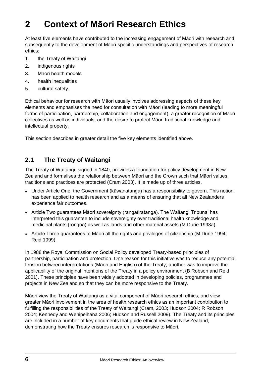# **2 Context of Māori Research Ethics**

At least five elements have contributed to the increasing engagement of Māori with research and subsequently to the development of Māori-specific understandings and perspectives of research ethics:

- 1. the Treaty of Waitangi
- 2. indigenous rights
- 3. Māori health models
- 4. health inequalities
- 5. cultural safety.

Ethical behaviour for research with Māori usually involves addressing aspects of these key elements and emphasises the need for consultation with Māori (leading to more meaningful forms of participation, partnership, collaboration and engagement), a greater recognition of Māori collectives as well as individuals, and the desire to protect Māori traditional knowledge and intellectual property.

This section describes in greater detail the five key elements identified above.

### **2.1 The Treaty of Waitangi**

The Treaty of Waitangi, signed in 1840, provides a foundation for policy development in New Zealand and formalises the relationship between Māori and the Crown such that Māori values, traditions and practices are protected (Cram 2003). It is made up of three articles.

- Under Article One, the Government (kāwanatanga) has a responsibility to govern. This notion has been applied to health research and as a means of ensuring that all New Zealanders experience fair outcomes.
- Article Two quarantees Māori sovereignty (rangatiratanga). The Waitangi Tribunal has interpreted this guarantee to include sovereignty over traditional health knowledge and medicinal plants (rongoā) as well as lands and other material assets (M Durie 1998a).
- Article Three guarantees to Māori all the rights and privileges of citizenship (M Durie 1994; Reid 1999).

In 1988 the Royal Commission on Social Policy developed Treaty-based principles of partnership, participation and protection. One reason for this initiative was to reduce any potential tension between interpretations (Māori and English) of the Treaty; another was to improve the applicability of the original intentions of the Treaty in a policy environment (B Robson and Reid 2001). These principles have been widely adopted in developing policies, programmes and projects in New Zealand so that they can be more responsive to the Treaty.

Māori view the Treaty of Waitangi as a vital component of Māori research ethics, and view greater Māori involvement in the area of health research ethics as an important contribution to fulfilling the responsibilities of the Treaty of Waitangi (Cram, 2003; Hudson 2004; R Robson 2004; Kennedy and Wehipeihana 2006; Hudson and Russell 2009). The Treaty and its principles are included in a number of key documents that guide ethical review in New Zealand, demonstrating how the Treaty ensures research is responsive to Māori.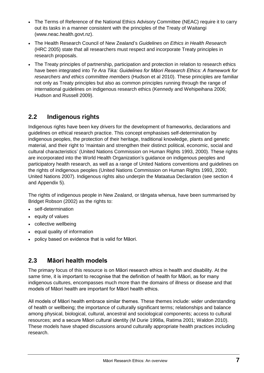- The Terms of Reference of the National Ethics Advisory Committee (NEAC) require it to carry out its tasks in a manner consistent with the principles of the Treaty of Waitangi [\(www.neac.health.govt.nz\)](http://www.neac.health.govt.nz/).
- The Health Research Council of New Zealand's *Guidelines on Ethics in Health Research*  (HRC 2005) state that all researchers must respect and incorporate Treaty principles in research proposals.
- The Treaty principles of partnership, participation and protection in relation to research ethics have been integrated into *Te Ara Tika: Guidelines for Māori Research Ethics: A framework for researchers and ethics committee members* (Hudson et al 2010). These principles are familiar not only as Treaty principles but also as common principles running through the range of international guidelines on indigenous research ethics (Kennedy and Wehipeihana 2006; Hudson and Russell 2009).

# **2.2 Indigenous rights**

Indigenous rights have been key drivers for the development of frameworks, declarations and guidelines on ethical research practice. This concept emphasises self-determination by indigenous peoples, the protection of their heritage, traditional knowledge, plants and genetic material, and their right to 'maintain and strengthen their distinct political, economic, social and cultural characteristics' (United Nations Commission on Human Rights 1993, 2000). These rights are incorporated into the World Health Organization's guidance on indigenous peoples and participatory health research, as well as a range of United Nations conventions and guidelines on the rights of indigenous peoples (United Nations Commission on Human Rights 1993, 2000; United Nations 2007). Indigenous rights also underpin the Mataatua Declaration (see section 4 and Appendix 5).

The rights of indigenous people in New Zealand, or tāngata whenua, have been summarised by Bridget Robson (2002) as the rights to:

- self-determination
- equity of values
- collective wellbeing
- equal quality of information
- policy based on evidence that is valid for Māori.

### **2.3 Māori health models**

The primary focus of this resource is on Māori research ethics in health and disability. At the same time, it is important to recognise that the definition of health for Māori, as for many indigenous cultures, encompasses much more than the domains of illness or disease and that models of Māori health are important for Māori health ethics.

All models of Māori health embrace similar themes. These themes include: wider understanding of health or wellbeing; the importance of culturally significant terms; relationships and balance among physical, biological, cultural, ancestral and sociological components; access to cultural resources; and a secure Māori cultural identity (M Durie 1998a, Ratima 2001; Waldon 2010). These models have shaped discussions around culturally appropriate health practices including research.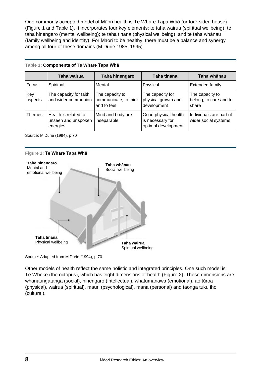One commonly accepted model of Māori health is Te Whare Tapa Whā (or four-sided house) (Figure 1 and Table 1). It incorporates four key elements: te taha wairua (spiritual wellbeing); te taha hinengaro (mental wellbeing); te taha tinana (physical wellbeing); and te taha whānau (family wellbeing and identity). For Māori to be healthy, there must be a balance and synergy among all four of these domains (M Durie 1985, 1995).

|                | Taha wairua                                             | Taha hinengaro                                          | Taha tinana                                                     | Taha whānau                                        |
|----------------|---------------------------------------------------------|---------------------------------------------------------|-----------------------------------------------------------------|----------------------------------------------------|
| <b>Focus</b>   | Spiritual                                               | Mental                                                  | Physical                                                        | Extended family                                    |
| Key<br>aspects | The capacity for faith<br>and wider communion           | The capacity to<br>communicate, to think<br>and to feel | The capacity for<br>physical growth and<br>development          | The capacity to<br>belong, to care and to<br>share |
| Themes         | Health is related to<br>unseen and unspoken<br>energies | Mind and body are<br>inseparable                        | Good physical health<br>is necessary for<br>optimal development | Individuals are part of<br>wider social systems    |

#### **Table 1: Components of Te Whare Tapa Whā**

Source: M Durie (1994), p 70

#### **Figure 1: Te Whare Tapa Whā**



Source: Adapted from M Durie (1994), p 70

Other models of health reflect the same holistic and integrated principles. One such model is Te Wheke (the octopus), which has eight dimensions of health (Figure 2). These dimensions are whanaungatanga (social), hinengaro (intellectual), whatumanawa (emotional), ao tūroa (physical), wairua (spiritual), mauri (psychological), mana (personal) and taonga tuku iho (cultural).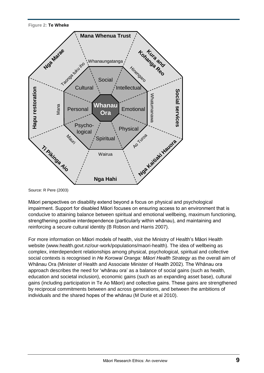**Figure 2: Te Wheke**



Source: R Pere (2003)

Māori perspectives on disability extend beyond a focus on physical and psychological impairment. Support for disabled Māori focuses on ensuring access to an environment that is conducive to attaining balance between spiritual and emotional wellbeing, maximum functioning, strengthening positive interdependence (particularly within whānau), and maintaining and reinforcing a secure cultural identity (B Robson and Harris 2007).

For more information on Māori models of health, visit the Ministry of Health's Māori Health website (www.health.govt.nz/our-work/populations/maori-health). The idea of wellbeing as complex, interdependent relationships among physical, psychological, spiritual and collective social contexts is recognised in *He Korowai Oranga: Māori Health Strategy* as the overall aim of Whānau Ora (Minister of Health and Associate Minister of Health 2002). The Whānau ora approach describes the need for 'whānau ora' as a balance of social gains (such as health, education and societal inclusion), economic gains (such as an expanding asset base), cultural gains (including participation in Te Ao Māori) and collective gains. These gains are strengthened by reciprocal commitments between and across generations, and between the ambitions of individuals and the shared hopes of the whānau (M Durie et al 2010).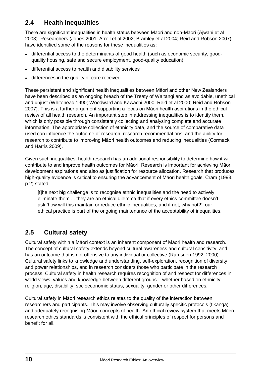# **2.4 Health inequalities**

There are significant inequalities in health status between Māori and non-Māori (Ajwani et al 2003). Researchers (Jones 2001; Arroll et al 2002; Bramley et al 2004; Reid and Robson 2007) have identified some of the reasons for these inequalities as:

- differential access to the determinants of good health (such as economic security, goodquality housing, safe and secure employment, good-quality education)
- differential access to health and disability services
- differences in the quality of care received.

These persistent and significant health inequalities between Māori and other New Zealanders have been described as an ongoing breach of the Treaty of Waitangi and as avoidable, unethical and unjust (Whitehead 1990; Woodward and Kawachi 2000; Reid et al 2000; Reid and Robson 2007). This is a further argument supporting a focus on Māori health aspirations in the ethical review of all health research. An important step in addressing inequalities is to identify them, which is only possible through consistently collecting and analysing complete and accurate information. The appropriate collection of ethnicity data, and the source of comparative data used can influence the outcome of research, research recommendations, and the ability for research to contribute to improving Māori health outcomes and reducing inequalities (Cormack and Harris 2009).

Given such inequalities, health research has an additional responsibility to determine how it will contribute to and improve health outcomes for Māori. Research is important for achieving Māori development aspirations and also as justification for resource allocation. Research that produces high-quality evidence is critical to ensuring the advancement of Māori health goals. Cram (1993, p 2) stated:

[t]he next big challenge is to recognise ethnic inequalities and the need to actively eliminate them ... they are an ethical dilemma that if every ethics committee doesn't ask 'how will this maintain or reduce ethnic inequalities, and if not, why not?', our ethical practice is part of the ongoing maintenance of the acceptability of inequalities.

# **2.5 Cultural safety**

Cultural safety within a Māori context is an inherent component of Māori health and research. The concept of cultural safety extends beyond cultural awareness and cultural sensitivity, and has an outcome that is not offensive to any individual or collective (Ramsden 1992, 2000). Cultural safety links to knowledge and understanding, self-exploration, recognition of diversity and power relationships, and in research considers those who participate in the research process. Cultural safety in health research requires recognition of and respect for differences in world views, values and knowledge between different groups – whether based on ethnicity, religion, age, disability, socioeconomic status, sexuality, gender or other differences.

Cultural safety in Māori research ethics relates to the quality of the interaction between researchers and participants. This may involve observing culturally specific protocols (tikanga) and adequately recognising Māori concepts of health. An ethical review system that meets Māori research ethics standards is consistent with the ethical principles of respect for persons and benefit for all.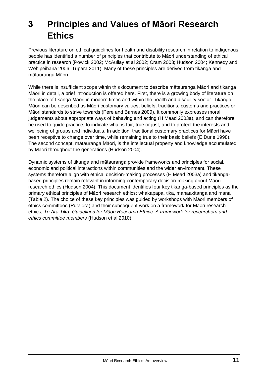# **3 Principles and Values of Māori Research Ethics**

Previous literature on ethical guidelines for health and disability research in relation to indigenous people has identified a number of principles that contribute to Māori understanding of ethical practice in research (Powick 2002; McAullay et al 2002; Cram 2003; Hudson 2004; Kennedy and Wehipeihana 2006; Tupara 2011). Many of these principles are derived from tikanga and mātauranga Māori.

While there is insufficient scope within this document to describe mātauranga Māori and tikanga Māori in detail, a brief introduction is offered here. First, there is a growing body of literature on the place of tikanga Māori in modern times and within the health and disability sector. Tikanga Māori can be described as Māori customary values, beliefs, traditions, customs and practices or Māori standards to strive towards (Pere and Barnes 2009). It commonly expresses moral judgements about appropriate ways of behaving and acting (H Mead 2003a), and can therefore be used to guide practice, to indicate what is fair, true or just, and to protect the interests and wellbeing of groups and individuals. In addition, traditional customary practices for Māori have been receptive to change over time, while remaining true to their basic beliefs (E Durie 1998). The second concept, mātauranga Māori, is the intellectual property and knowledge accumulated by Māori throughout the generations (Hudson 2004).

Dynamic systems of tikanga and mātauranga provide frameworks and principles for social, economic and political interactions within communities and the wider environment. These systems therefore align with ethical decision-making processes (H Mead 2003a) and tikangabased principles remain relevant in informing contemporary decision-making about Māori research ethics (Hudson 2004). This document identifies four key tikanga-based principles as the primary ethical principles of Māori research ethics: whakapapa, tika, manaakitanga and mana (Table 2). The choice of these key principles was guided by workshops with Māori members of ethics committees (Pūtaiora) and their subsequent work on a framework for Māori research ethics, *Te Ara Tika: Guidelines for Māori Research Ethics: A framework for researchers and ethics committee members* (Hudson et al 2010).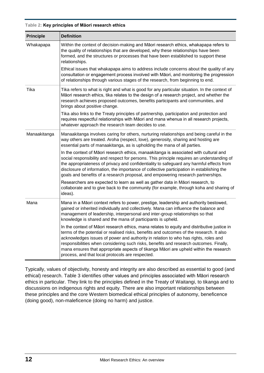|  |  |  | Table 2: Key principles of Māori research ethics |  |  |  |
|--|--|--|--------------------------------------------------|--|--|--|
|--|--|--|--------------------------------------------------|--|--|--|

| <b>Principle</b> | <b>Definition</b>                                                                                                                                                                                                                                                                                                                                                                                                                                                                                                     |
|------------------|-----------------------------------------------------------------------------------------------------------------------------------------------------------------------------------------------------------------------------------------------------------------------------------------------------------------------------------------------------------------------------------------------------------------------------------------------------------------------------------------------------------------------|
| Whakapapa        | Within the context of decision-making and Māori research ethics, whakapapa refers to<br>the quality of relationships that are developed, why these relationships have been<br>formed, and the structures or processes that have been established to support these<br>relationships.                                                                                                                                                                                                                                   |
|                  | Ethical issues that whakapapa aims to address include concerns about the quality of any<br>consultation or engagement process involved with Māori, and monitoring the progression<br>of relationships through various stages of the research, from beginning to end.                                                                                                                                                                                                                                                  |
| Tika             | Tika refers to what is right and what is good for any particular situation. In the context of<br>Māori research ethics, tika relates to the design of a research project, and whether the<br>research achieves proposed outcomes, benefits participants and communities, and<br>brings about positive change.                                                                                                                                                                                                         |
|                  | Tika also links to the Treaty principles of partnership, participation and protection and<br>requires respectful relationships with Māori and mana whenua in all research projects,<br>whatever approach the research team decides to use.                                                                                                                                                                                                                                                                            |
| Manaakitanga     | Manaakitanga involves caring for others, nurturing relationships and being careful in the<br>way others are treated. Aroha (respect, love), generosity, sharing and hosting are<br>essential parts of manaakitanga, as is upholding the mana of all parties.                                                                                                                                                                                                                                                          |
|                  | In the context of Māori research ethics, manaakitanga is associated with cultural and<br>social responsibility and respect for persons. This principle requires an understanding of<br>the appropriateness of privacy and confidentiality to safeguard any harmful effects from<br>disclosure of information, the importance of collective participation in establishing the<br>goals and benefits of a research proposal, and empowering research partnerships.                                                      |
|                  | Researchers are expected to learn as well as gather data in Māori research, to<br>collaborate and to give back to the community (for example, through koha and sharing of<br>ideas).                                                                                                                                                                                                                                                                                                                                  |
| Mana             | Mana in a Māori context refers to power, prestige, leadership and authority bestowed,<br>gained or inherited individually and collectively. Mana can influence the balance and<br>management of leadership, interpersonal and inter-group relationships so that<br>knowledge is shared and the mana of participants is upheld.                                                                                                                                                                                        |
|                  | In the context of Māori research ethics, mana relates to equity and distributive justice in<br>terms of the potential or realised risks, benefits and outcomes of the research. It also<br>acknowledges issues of power and authority in relation to who has rights, roles and<br>responsibilities when considering such risks, benefits and research outcomes. Finally,<br>mana ensures that appropriate aspects of tikanga Māori are upheld within the research<br>process, and that local protocols are respected. |

Typically, values of objectivity, honesty and integrity are also described as essential to good (and ethical) research. Table 3 identifies other values and principles associated with Māori research ethics in particular. They link to the principles defined in the Treaty of Waitangi, to tikanga and to discussions on indigenous rights and equity. There are also important relationships between these principles and the core Western biomedical ethical principles of autonomy, beneficence (doing good), non-maleficence (doing no harm) and justice.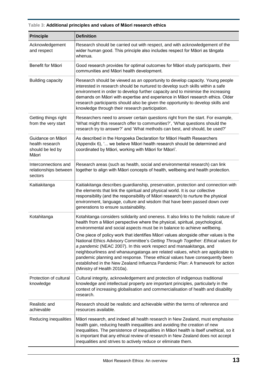| <b>Principle</b>                                                  | <b>Definition</b>                                                                                                                                                                                                                                                                                                                                                                                                                                                                                                                |
|-------------------------------------------------------------------|----------------------------------------------------------------------------------------------------------------------------------------------------------------------------------------------------------------------------------------------------------------------------------------------------------------------------------------------------------------------------------------------------------------------------------------------------------------------------------------------------------------------------------|
| Acknowledgement<br>and respect                                    | Research should be carried out with respect, and with acknowledgement of the<br>wider human good. This principle also includes respect for Māori as tāngata<br>whenua.                                                                                                                                                                                                                                                                                                                                                           |
| Benefit for Māori                                                 | Good research provides for optimal outcomes for Māori study participants, their<br>communities and Māori health development.                                                                                                                                                                                                                                                                                                                                                                                                     |
| Building capacity                                                 | Research should be viewed as an opportunity to develop capacity. Young people<br>interested in research should be nurtured to develop such skills within a safe<br>environment in order to develop further capacity and to minimise the increasing<br>demands on Māori with expertise and experience in Māori research ethics. Older<br>research participants should also be given the opportunity to develop skills and<br>knowledge through their research participation.                                                      |
| Getting things right<br>from the very start                       | Researchers need to answer certain questions right from the start. For example,<br>'What might this research offer to communities?', 'What questions should the<br>research try to answer?' and 'What methods can best, and should, be used?'                                                                                                                                                                                                                                                                                    |
| Guidance on Māori<br>health research<br>should be led by<br>Māori | As described in the Hongoeka Declaration for Māori Health Researchers<br>(Appendix 6), ' we believe Māori health research should be determined and<br>coordinated by Māori, working with Māori for Māori'.                                                                                                                                                                                                                                                                                                                       |
| Interconnections and<br>relationships between<br>sectors          | Research areas (such as health, social and environmental research) can link<br>together to align with Māori concepts of health, wellbeing and health protection.                                                                                                                                                                                                                                                                                                                                                                 |
| Kaitiakitanga                                                     | Kaitiakitanga describes guardianship, preservation, protection and connection with<br>the elements that link the spiritual and physical world. It is our collective<br>responsibility (and the responsibility of Māori research) to nurture the physical<br>environment, language, culture and wisdom that have been passed down over<br>generations to ensure sustainability.                                                                                                                                                   |
| Kotahitanga                                                       | Kotahitanga considers solidarity and oneness. It also links to the holistic nature of<br>health from a Māori perspective where the physical, spiritual, psychological,<br>environmental and social aspects must be in balance to achieve wellbeing.                                                                                                                                                                                                                                                                              |
|                                                                   | One piece of policy work that identifies Māori values alongside other values is the<br>National Ethics Advisory Committee's Getting Through Together: Ethical values for<br>a pandemic (NEAC 2007). In this work respect and manaakitanga, and<br>neighbourliness and whanaungatanga are related values, which are applicable to<br>pandemic planning and response. These ethical values have consequently been<br>established in the New Zealand Influenza Pandemic Plan: A framework for action<br>(Ministry of Health 2010a). |
| Protection of cultural<br>knowledge                               | Cultural integrity, acknowledgement and protection of indigenous traditional<br>knowledge and intellectual property are important principles, particularly in the<br>context of increasing globalisation and commercialisation of health and disability<br>research.                                                                                                                                                                                                                                                             |
| Realistic and<br>achievable                                       | Research should be realistic and achievable within the terms of reference and<br>resources available.                                                                                                                                                                                                                                                                                                                                                                                                                            |
| Reducing inequalities                                             | Māori research, and indeed all health research in New Zealand, must emphasise<br>health gain, reducing health inequalities and avoiding the creation of new<br>inequalities. The persistence of inequalities in Māori health is itself unethical, so it<br>is important that any ethical review of research in New Zealand does not accept<br>inequalities and strives to actively reduce or eliminate them.                                                                                                                     |

#### **Table 3: Additional principles and values of Māori research ethics**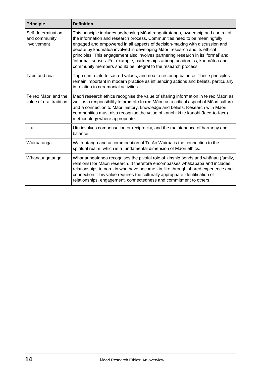| <b>Principle</b>                                   | <b>Definition</b>                                                                                                                                                                                                                                                                                                                                                                                                                                                                                                                                             |
|----------------------------------------------------|---------------------------------------------------------------------------------------------------------------------------------------------------------------------------------------------------------------------------------------------------------------------------------------------------------------------------------------------------------------------------------------------------------------------------------------------------------------------------------------------------------------------------------------------------------------|
| Self-determination<br>and community<br>involvement | This principle includes addressing Māori rangatiratanga, ownership and control of<br>the information and research process. Communities need to be meaningfully<br>engaged and empowered in all aspects of decision-making with discussion and<br>debate by kaumātua involved in developing Māori research and its ethical<br>principles. This engagement also involves partnering research in its 'formal' and<br>'informal' senses. For example, partnerships among academics, kaumātua and<br>community members should be integral to the research process. |
| Tapu and noa                                       | Tapu can relate to sacred values, and noa to restoring balance. These principles<br>remain important in modern practice as influencing actions and beliefs, particularly<br>in relation to ceremonial activities.                                                                                                                                                                                                                                                                                                                                             |
| Te reo Māori and the<br>value of oral tradition    | Māori research ethics recognise the value of sharing information in te reo Māori as<br>well as a responsibility to promote te reo Māori as a critical aspect of Māori culture<br>and a connection to Māori history, knowledge and beliefs. Research with Māori<br>communities must also recognise the value of kanohi ki te kanohi (face-to-face)<br>methodology where appropriate.                                                                                                                                                                           |
| Utu                                                | Utu involves compensation or reciprocity, and the maintenance of harmony and<br>balance.                                                                                                                                                                                                                                                                                                                                                                                                                                                                      |
| Wairuatanga                                        | Wairuatanga and accommodation of Te Ao Wairua is the connection to the<br>spiritual realm, which is a fundamental dimension of Māori ethics.                                                                                                                                                                                                                                                                                                                                                                                                                  |
| Whanaungatanga                                     | Whanaungatanga recognises the pivotal role of kinship bonds and whānau (family,<br>relations) for Māori research. It therefore encompasses whakapapa and includes<br>relationships to non-kin who have become kin-like through shared experience and<br>connection. This value requires the culturally appropriate identification of<br>relationships, engagement, connectedness and commitment to others.                                                                                                                                                    |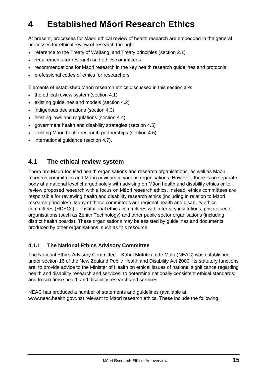# **4 Established Māori Research Ethics**

At present, processes for Māori ethical review of health research are embedded in the general processes for ethical review of research through:

- reference to the Treaty of Waitangi and Treaty principles (section 2.1)
- requirements for research and ethics committees
- recommendations for Māori research in the key health research guidelines and protocols
- professional codes of ethics for researchers.

Elements of established Māori research ethics discussed in this section are:

- $\bullet$  the ethical review system (section 4.1)
- existing guidelines and models (section 4.2)
- indigenous declarations (section 4.3)
- existing laws and regulations (section 4.4)
- government health and disability strategies (section 4.5)
- existing Māori health research partnerships (section 4.6)
- international quidance (section 4.7).

#### **4.1 The ethical review system**

There are Māori-focused health organisations and research organisations, as well as Māori research committees and Māori advisors in various organisations. However, there is no separate body at a national level charged solely with advising on Māori health and disability ethics or to review proposed research with a focus on Māori research ethics. Instead, ethics committees are responsible for reviewing health and disability research ethics (including in relation to Māori research principles). Many of these committees are regional health and disability ethics committees (HDECs) or institutional ethics committees within tertiary institutions, private sector organisations (such as Zenith Technology) and other public sector organisations (including district health boards). These organisations may be assisted by guidelines and documents produced by other organisations, such as this resource.

#### **4.1.1 The National Ethics Advisory Committee**

The National Ethics Advisory Committee – Kāhui Matatika o te Motu (NEAC) was established under section 16 of the New Zealand Public Health and Disability Act 2000. Its statutory functions are: to provide advice to the Minister of Health on ethical issues of national significance regarding health and disability research and services; to determine nationally consistent ethical standards; and to scrutinise health and disability research and services.

NEAC has produced a number of statements and guidelines (available at [www.neac.health.govt.nz\)](http://www.neac.health.govt.nz/) relevant to Māori research ethics. These include the following.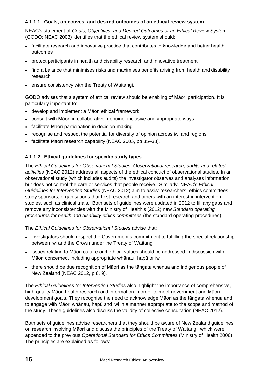#### **4.1.1.1 Goals, objectives, and desired outcomes of an ethical review system**

NEAC's statement of *Goals, Objectives, and Desired Outcomes of an Ethical Review System*  (GODO; NEAC 2003) identifies that the ethical review system should:

- facilitate research and innovative practice that contributes to knowledge and better health outcomes
- protect participants in health and disability research and innovative treatment
- find a balance that minimises risks and maximises benefits arising from health and disability research
- ensure consistency with the Treaty of Waitangi.

GODO advises that a system of ethical review should be enabling of Māori participation. It is particularly important to:

- develop and implement a Māori ethical framework
- consult with Māori in collaborative, genuine, inclusive and appropriate ways
- facilitate Māori participation in decision-making
- recognise and respect the potential for diversity of opinion across iwi and regions
- facilitate Māori research capability (NEAC 2003, pp 35–38).

#### **4.1.1.2 Ethical guidelines for specific study types**

The *Ethical Guidelines for Observational Studies: Observational research, audits and related activities* (NEAC 2012) address all aspects of the ethical conduct of observational studies. In an observational study (which includes audits) the investigator observes and analyses information but does not control the care or services that people receive. Similarly, NEAC's *Ethical Guidelines for Intervention Studies* (NEAC 2012) aim to assist researchers, ethics committees, study sponsors, organisations that host research and others with an interest in intervention studies, such as clinical trials. Both sets of guidelines were updated in 2012 to fill any gaps and remove any inconsistencies with the Ministry of Health's (2012) new *Standard operating procedures for health and disability ethics committees* (the standard operating procedures).

The *Ethical Guidelines for Observational Studies* advise that:

- investigators should respect the Government's commitment to fulfilling the special relationship between iwi and the Crown under the Treaty of Waitangi
- issues relating to Māori culture and ethical values should be addressed in discussion with Māori concerned, including appropriate whānau, hapū or iwi
- there should be due recognition of Māori as the tāngata whenua and indigenous people of New Zealand (NEAC 2012, p 8, 9).

The *Ethical Guidelines for Intervention Studies* also highlight the importance of comprehensive, high-quality Māori health research and information in order to meet government and Māori development goals. They recognise the need to acknowledge Māori as the tāngata whenua and to engage with Māori whānau, hapū and iwi in a manner appropriate to the scope and method of the study. These guidelines also discuss the validity of collective consultation (NEAC 2012).

Both sets of guidelines advise researchers that they should be aware of New Zealand guidelines on research involving Māori and discuss the principles of the Treaty of Waitangi, which were appended to the previous *Operational Standard for Ethics Committees* (Ministry of Health 2006). The principles are explained as follows: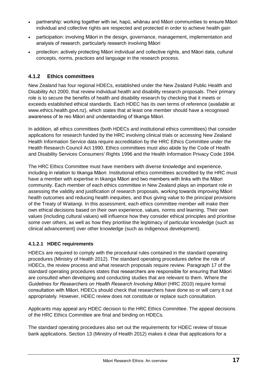- partnership: working together with iwi, hapū, whānau and Māori communities to ensure Māori individual and collective rights are respected and protected in order to achieve health gain
- participation: involving Māori in the design, governance, management, implementation and analysis of research, particularly research involving Māori
- protection: actively protecting Māori individual and collective rights, and Māori data, cultural concepts, norms, practices and language in the research process.

#### **4.1.2 Ethics committees**

New Zealand has four regional HDECs, established under the New Zealand Public Health and Disability Act 2000, that review individual health and disability research proposals. Their primary role is to secure the benefits of health and disability research by checking that it meets or exceeds established ethical standards. Each HDEC has its own terms of reference (available at [www.ethics.health.govt.nz\)](http://www.ethics.health.govt.nz/), which states that at least one member should have a recognised awareness of te reo Māori and understanding of tikanga Māori.

In addition, all ethics committees (both HDECs and institutional ethics committees) that consider applications for research funded by the HRC involving clinical trials or accessing New Zealand Health Information Service data require accreditation by the HRC Ethics Committee under the Health Research Council Act 1990. Ethics committees must also abide by the Code of Health and Disability Services Consumers' Rights 1996 and the Health Information Privacy Code 1994.

The HRC Ethics Committee must have members with diverse knowledge and experience, including in relation to tikanga Māori. Institutional ethics committees accredited by the HRC must have a member with expertise in tikanga Māori and two members with links with the Māori community. Each member of each ethics committee in New Zealand plays an important role in assessing the validity and justification of research proposals, working towards improving Māori health outcomes and reducing health inequities, and thus giving value to the principal provisions of the Treaty of Waitangi. In this assessment, each ethics committee member will make their own ethical decisions based on their own experience, values, norms and learning. Their own values (including cultural values) will influence how they consider ethical principles and prioritise some over others, as well as how they prioritise the legitimacy of particular knowledge (such as clinical advancement) over other knowledge (such as indigenous development).

#### **4.1.2.1 HDEC requirements**

HDECs are required to comply with the procedural rules contained in the standard operating procedures (Ministry of Health 2012). The standard operating procedures define the role of HDECs, the review process and what research proposals require review. Paragraph 17 of the standard operating procedures states that researchers are responsible for ensuring that Māori are consulted when developing and conducting studies that are relevant to them. Where the *Guidelines for Researchers on Health Research Involving Māori* (HRC 2010) require formal consultation with Māori, HDECs should check that researchers have done so or will carry it out appropriately. However, HDEC review does not constitute or replace such consultation.

Applicants may appeal any HDEC decision to the HRC Ethics Committee. The appeal decisions of the HRC Ethics Committee are final and binding on HDECs.

The standard operating procedures also set out the requirements for HDEC review of tissue bank applications. Section 13 (Ministry of Health 2012) makes it clear that applications for a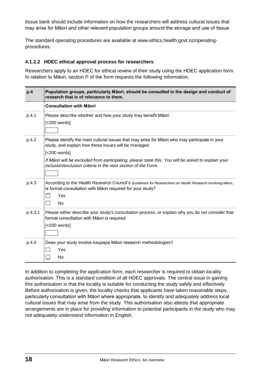tissue bank should include information on how the researchers will address cultural issues that may arise for Māori and other relevant population groups around the storage and use of tissue.

The standard operating procedures are available at [www.ethics.health.govt.nz/operating](http://www.ethics.health.govt.nz/operating-procedures)[procedures.](http://www.ethics.health.govt.nz/operating-procedures)

#### **4.1.2.2 HDEC ethical approval process for researchers**

Researchers apply to an HDEC for ethical review of their study using the HDEC application form. In relation to Māori, section P of the form requests the following information.

| p.4     | Population groups, particularly Māori, should be consulted in the design and conduct of<br>research that is of relevance to them.                                                                                                                                                                                                              |  |
|---------|------------------------------------------------------------------------------------------------------------------------------------------------------------------------------------------------------------------------------------------------------------------------------------------------------------------------------------------------|--|
|         | <b>Consultation with Māori</b>                                                                                                                                                                                                                                                                                                                 |  |
| p.4.1   | Please describe whether and how your study may benefit Māori.<br>$[<$ 200 words $]$                                                                                                                                                                                                                                                            |  |
| p.4.2   | Please identify the main cultural issues that may arise for Māori who may participate in your<br>study, and explain how these issues will be managed.<br>$[<200$ words]<br>If Māori will be excluded from participating, please state this. You will be asked to explain your<br>inclusion/exclusion criteria in the next section of the Form. |  |
| p.4.3   | According to the Health Research Council's Guidelines for Researchers on Health Research Involving Māori,<br>is formal consultation with Māori required for your study?<br>Yes<br><b>No</b>                                                                                                                                                    |  |
| p.4.3.1 | Please either describe your study's consultation process, or explain why you do not consider that<br>formal consultation with Māori is required.<br>$[<$ 200 words $]$                                                                                                                                                                         |  |
| p.4.4   | Does your study involve kaupapa Māori research methodologies?<br>Yes<br>No                                                                                                                                                                                                                                                                     |  |

In addition to completing the application form, each researcher is required to obtain locality authorisation. This is a standard condition of all HDEC approvals. The central issue in gaining this authorisation is that the locality is suitable for conducting the study safely and effectively. Before authorisation is given, the locality checks that applicants have taken reasonable steps, particularly consultation with Māori where appropriate, to identify and adequately address local cultural issues that may arise from the study. This authorisation also attests that appropriate arrangements are in place for providing information to potential participants in the study who may not adequately understand information in English.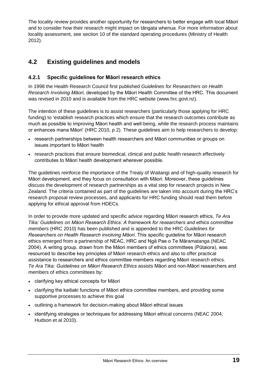The locality review provides another opportunity for researchers to better engage with local Māori and to consider how their research might impact on tāngata whenua. For more information about locality assessment, see section 10 of the standard operating procedures (Ministry of Health 2012).

# **4.2 Existing guidelines and models**

#### **4.2.1 Specific guidelines for Māori research ethics**

In 1998 the Health Research Council first published *Guidelines for Researchers on Health Research Involving Māori*, developed by the Māori Health Committee of the HRC. This document was revised in 2010 and is available from the HRC website [\(www.hrc.govt.nz\)](http://www.hrc.govt.nz/).

The intention of these guidelines is to assist researchers (particularly those applying for HRC funding) to 'establish research practices which ensure that the research outcomes contribute as much as possible to improving Māori health and well-being, while the research process maintains or enhances mana Māori' (HRC 2010, p 2). These guidelines aim to help researchers to develop:

- research partnerships between health researchers and Māori communities or groups on issues important to Māori health
- research practices that ensure biomedical, clinical and public health research effectively contributes to Māori health development wherever possible.

The guidelines reinforce the importance of the Treaty of Waitangi and of high-quality research for Māori development, and they focus on consultation with Māori. Moreover, these guidelines discuss the development of research partnerships as a vital step for research projects in New Zealand. The criteria contained as part of the guidelines are taken into account during the HRC's research proposal review processes, and applicants for HRC funding should read them before applying for ethical approval from HDECs.

In order to provide more updated and specific advice regarding Māori research ethics, *Te Ara Tika: Guidelines on Māori Research Ethics: A framework for researchers and ethics committee members* (HRC 2010) has been published and is appended to the HRC *Guidelines for Researchers on Health Research involving Māori*. This specific guideline for Māori research ethics emerged from a partnership of NEAC, HRC and Ngā Pae o Te Māramatanga (NEAC 2004). A writing group, drawn from the Māori members of ethics committees (Pūtaiora), was resourced to describe key principles of Māori research ethics and also to offer practical assistance to researchers and ethics committee members regarding Māori research ethics. *Te Ara Tika: Guidelines on Māori Research Ethics* assists Māori and non-Māori researchers and members of ethics committees by:

- clarifying key ethical concepts for Māori
- clarifying the kaitiaki functions of Māori ethics committee members, and providing some supportive processes to achieve this goal
- outlining a framework for decision-making about Māori ethical issues
- identifying strategies or techniques for addressing Māori ethical concerns (NEAC 2004; Hudson et al 2010).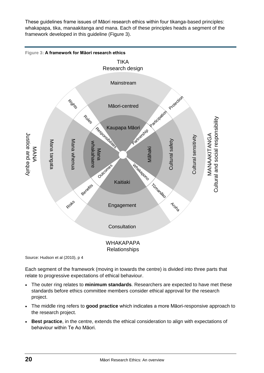These guidelines frame issues of Māori research ethics within four tikanga-based principles: whakapapa, tika, manaakitanga and mana. Each of these principles heads a segment of the framework developed in this guideline (Figure 3).



Source: Hudson et al (2010), p 4

Each segment of the framework (moving in towards the centre) is divided into three parts that relate to progressive expectations of ethical behaviour.

- The outer ring relates to **minimum standards**. Researchers are expected to have met these standards before ethics committee members consider ethical approval for the research project.
- The middle ring refers to **good practice** which indicates a more Māori-responsive approach to the research project.
- **Best practice**, in the centre, extends the ethical consideration to align with expectations of behaviour within Te Ao Māori.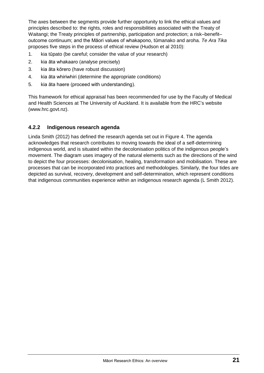The axes between the segments provide further opportunity to link the ethical values and principles described to: the rights, roles and responsibilities associated with the Treaty of Waitangi; the Treaty principles of partnership, participation and protection; a risk–benefit– outcome continuum; and the Māori values of whakapono, tūmanako and aroha. *Te Ara Tika* proposes five steps in the process of ethical review (Hudson et al 2010):

- 1. kia tūpato (be careful; consider the value of your research)
- 2. kia āta whakaaro (analyse precisely)
- 3. kia āta kōrero (have robust discussion)
- 4. kia āta whiriwhiri (determine the appropriate conditions)
- 5. kia āta haere (proceed with understanding).

This framework for ethical appraisal has been recommended for use by the Faculty of Medical and Health Sciences at The University of Auckland. It is available from the HRC's website [\(www.hrc.govt.nz\)](http://www.hrc.govt.nz/).

#### **4.2.2 Indigenous research agenda**

Linda Smith (2012) has defined the research agenda set out in Figure 4. The agenda acknowledges that research contributes to moving towards the ideal of a self-determining indigenous world, and is situated within the decolonisation politics of the indigenous people's movement. The diagram uses imagery of the natural elements such as the directions of the wind to depict the four processes: decolonisation, healing, transformation and mobilisation. These are processes that can be incorporated into practices and methodologies. Similarly, the four tides are depicted as survival, recovery, development and self-determination, which represent conditions that indigenous communities experience within an indigenous research agenda (L Smith 2012).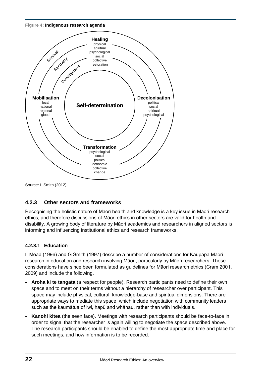**Figure 4: Indigenous research agenda**



Source: L Smith (2012)

#### **4.2.3 Other sectors and frameworks**

Recognising the holistic nature of Māori health and knowledge is a key issue in Māori research ethics, and therefore discussions of Māori ethics in other sectors are valid for health and disability. A growing body of literature by Māori academics and researchers in aligned sectors is informing and influencing institutional ethics and research frameworks.

#### **4.2.3.1 Education**

L Mead (1996) and G Smith (1997) describe a number of considerations for Kaupapa Māori research in education and research involving Māori, particularly by Māori researchers. These considerations have since been formulated as guidelines for Māori research ethics (Cram 2001, 2009) and include the following.

- **Aroha ki te tangata** (a respect for people). Research participants need to define their own space and to meet on their terms without a hierarchy of researcher over participant. This space may include physical, cultural, knowledge-base and spiritual dimensions. There are appropriate ways to mediate this space, which include negotiation with community leaders such as the kaumātua of iwi, hapū and whānau, rather than with individuals.
- **Kanohi kitea** (the seen face). Meetings with research participants should be face-to-face in order to signal that the researcher is again willing to negotiate the space described above. The research participants should be enabled to define the most appropriate time and place for such meetings, and how information is to be recorded.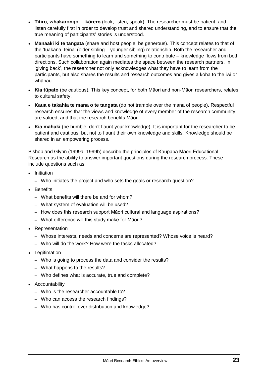- **Titiro, whakarongo ... kōrero** (look, listen, speak). The researcher must be patient, and listen carefully first in order to develop trust and shared understanding, and to ensure that the true meaning of participants' stories is understood.
- **Manaaki ki te tangata** (share and host people, be generous). This concept relates to that of the 'tuakana–teina' (older sibling – younger sibling) relationship. Both the researcher and participants have something to learn and something to contribute – knowledge flows from both directions. Such collaboration again mediates the space between the research partners. In 'giving back', the researcher not only acknowledges what they have to learn from the participants, but also shares the results and research outcomes and gives a koha to the iwi or whānau.
- **Kia tūpato** (be cautious). This key concept, for both Māori and non-Māori researchers, relates to cultural safety.
- **Kaua e takahia te mana o te tangata** (do not trample over the mana of people). Respectful research ensures that the views and knowledge of every member of the research community are valued, and that the research benefits Māori.
- **Kia māhaki** (be humble, don't flaunt your knowledge). It is important for the researcher to be patient and cautious, but not to flaunt their own knowledge and skills. Knowledge should be shared in an empowering process.

Bishop and Glynn (1999a, 1999b) describe the principles of Kaupapa Māori Educational Research as the ability to answer important questions during the research process. These include questions such as:

- Initiation
	- Who initiates the project and who sets the goals or research question?
- Benefits
	- What benefits will there be and for whom?
	- What system of evaluation will be used?
	- How does this research support Māori cultural and language aspirations?
	- What difference will this study make for Māori?
- Representation
	- Whose interests, needs and concerns are represented? Whose voice is heard?
	- Who will do the work? How were the tasks allocated?
- Legitimation
	- Who is going to process the data and consider the results?
	- What happens to the results?
	- Who defines what is accurate, true and complete?
- Accountability
	- Who is the researcher accountable to?
	- Who can access the research findings?
	- Who has control over distribution and knowledge?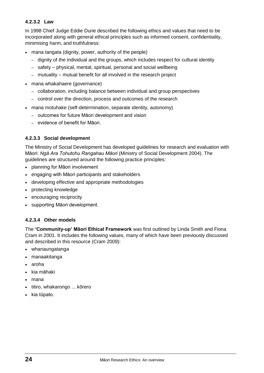#### **4.2.3.2 Law**

In 1998 Chief Judge Eddie Durie described the following ethics and values that need to be incorporated along with general ethical principles such as informed consent, confidentiality, minimising harm, and truthfulness:

- mana tangata (dignity, power, authority of the people)
	- dignity of the individual and the groups, which includes respect for cultural identity
	- safety physical, mental, spiritual, personal and social wellbeing
	- mutuality mutual benefit for all involved in the research project
- mana whakahaere (governance)
	- collaboration, including balance between individual and group perspectives
	- control over the direction, process and outcomes of the research
- mana motuhake (self-determination, separate identity, autonomy)
	- outcomes for future Māori development and vision
	- evidence of benefit for Māori.

#### **4.2.3.3 Social development**

The Ministry of Social Development has developed guidelines for research and evaluation with Māori: *Ngā Ara Tohutohu Rangahau Māori* (Ministry of Social Development 2004). The guidelines are structured around the following practice principles:

- planning for Māori involvement
- engaging with Māori participants and stakeholders
- developing effective and appropriate methodologies
- protecting knowledge
- encouraging reciprocity
- supporting Māori development.

#### **4.2.3.4 Other models**

The **'Community-up' Māori Ethical Framework** was first outlined by Linda Smith and Fiona Cram in 2001. It includes the following values, many of which have been previously discussed and described in this resource (Cram 2009):

- whanaungatanga
- manaakitanga
- aroha
- kia māhaki
- mana
- titiro, whakarongo ... kōrero
- $\bullet$  kia tūpato.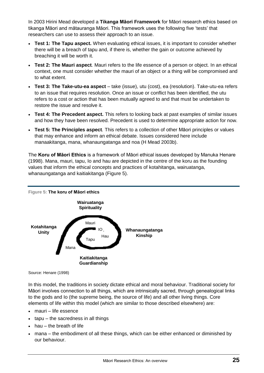In 2003 Hirini Mead developed a **Tikanga Māori Framework** for Māori research ethics based on tikanga Māori and mātauranga Māori. This framework uses the following five 'tests' that researchers can use to assess their approach to an issue.

- **Test 1: The Tapu aspect.** When evaluating ethical issues, it is important to consider whether there will be a breach of tapu and, if there is, whether the gain or outcome achieved by breaching it will be worth it.
- **Test 2: The Mauri aspect***.* Mauri refers to the life essence of a person or object*.* In an ethical context, one must consider whether the mauri of an object or a thing will be compromised and to what extent.
- **Test 3: The Take-utu-ea aspect** *–* take (issue), utu (cost), ea (resolution). Take-utu-ea refers to an issue that requires resolution. Once an issue or conflict has been identified, the utu refers to a cost or action that has been mutually agreed to and that must be undertaken to restore the issue and resolve it.
- **Test 4: The Precedent aspect.** This refers to looking back at past examples of similar issues and how they have been resolved. Precedent is used to determine appropriate action for now.
- **Test 5: The Principles aspect***.* This refers to a collection of other Māori principles or values that may enhance and inform an ethical debate. Issues considered here include manaakitanga, mana, whanaungatanga and noa (H Mead 2003b).

The **Koru of Māori Ethics** is a framework of Māori ethical issues developed by Manuka Henare (1998). Mana, mauri, tapu, Io and hau are depicted in the centre of the koru as the founding values that inform the ethical concepts and practices of kotahitanga, wairuatanga, whanaungatanga and kaitiakitanga (Figure 5).



Source: Henare (1998)

In this model, the traditions in society dictate ethical and moral behaviour. Traditional society for Māori involves connection to all things, which are intrinsically sacred, through genealogical links to the gods and Io (the supreme being, the source of life) and all other living things. Core elements of life within this model (which are similar to those described elsewhere) are:

- mauri life essence
- $\bullet$  tapu the sacredness in all things
- hau the breath of life
- mana the embodiment of all these things, which can be either enhanced or diminished by our behaviour.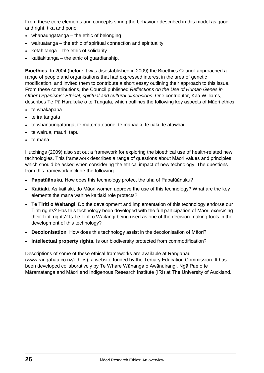From these core elements and concepts spring the behaviour described in this model as good and right, tika and pono:

- whanaungatanga the ethic of belonging
- wairuatanga the ethic of spiritual connection and spirituality
- $\bullet$  kotahitanga the ethic of solidarity
- $\bullet$  kaitiakitanga the ethic of guardianship.

**Bioethics.** In 2004 (before it was disestablished in 2009) the Bioethics Council approached a range of people and organisations that had expressed interest in the area of genetic modification, and invited them to contribute a short essay outlining their approach to this issue. From these contributions, the Council published *Reflections on the Use of Human Genes in Other Organisms: Ethical, spiritual and cultural dimensions*. One contributor, Kaa Williams, describes Te Pā Harakeke o te Tangata, which outlines the following key aspects of Māori ethics:

- te whakapapa
- $\bullet$  te ira tangata
- te whanaungatanga, te matemateaone, te manaaki, te tiaki, te atawhai
- te wairua, mauri, tapu
- $\bullet$  te mana.

Hutchings (2009) also set out a framework for exploring the bioethical use of health-related new technologies. This framework describes a range of questions about Māori values and principles which should be asked when considering the ethical impact of new technology. The questions from this framework include the following.

- **Papatūānuku***.* How does this technology protect the uha of Papatūānuku?
- **Kaitiaki***.* As kaitiaki, do Māori women approve the use of this technology? What are the key elements the mana wahine kaitiaki role protects?
- **Te Tiriti o Waitangi**. Do the development and implementation of this technology endorse our Tiriti rights? Has this technology been developed with the full participation of Māori exercising their Tiriti rights? Is Te Tiriti o Waitangi being used as one of the decision-making tools in the development of this technology?
- **Decolonisation***.* How does this technology assist in the decolonisation of Māori?
- **Intellectual property rights***.* Is our biodiversity protected from commodification?

Descriptions of some of these ethical frameworks are available at Rangahau [\(www.rangahau.co.nz/ethics\)](http://www.rangahau.co.nz/ethics/), a website funded by the Tertiary Education Commission. It has been developed collaboratively by Te Whare Wānanga o Awānuirangi, Ngā Pae o te Māramatanga and Māori and Indigenous Research Institute (IRI) at The University of Auckland.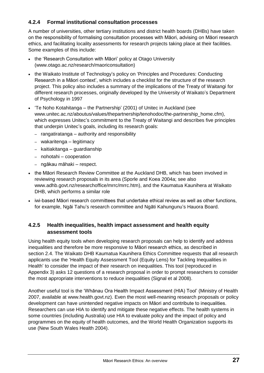#### **4.2.4 Formal institutional consultation processes**

A number of universities, other tertiary institutions and district health boards (DHBs) have taken on the responsibility of formalising consultation processes with Māori, advising on Māori research ethics, and facilitating locality assessments for research projects taking place at their facilities. Some examples of this include:

- the 'Research Consultation with Māori' policy at Otago University (www.otago.ac.nz/research/maoriconsultation)
- the Waikato Institute of Technology's policy on 'Principles and Procedures: Conducting Research in a Māori context', which includes a checklist for the structure of the research project. This policy also includes a summary of the implications of the Treaty of Waitangi for different research processes, originally developed by the University of Waikato's Department of Psychology in 1997
- 'Te Noho Kotahitanga the Partnership' (2001) of Unitec in Auckland (see www.unitec.ac.nz/aboutus/values/thepartnership/tenohodoc/the-partnership\_home.cfm), which expresses Unitec's commitment to the Treaty of Waitangi and describes five principles that underpin Unitec's goals, including its research goals:
	- rangatiratanga authority and responsibility
	- wakaritenga legitimacy
	- kaitiakitanga guardianship
	- nohotahi cooperation
	- ngākau māhaki respect.
- the Māori Research Review Committee at the Auckland DHB, which has been involved in reviewing research proposals in its area (Sporle and Koea 2004a; see also [www.adhb.govt.nz/researchoffice/mrrc/mrrc.htm\)](http://www.adhb.govt.nz/researchoffice/mrrc/mrrc.htm), and the Kaumatua Kaunihera at Waikato DHB, which performs a similar role
- iwi-based Māori research committees that undertake ethical review as well as other functions, for example, Ngāi Tahu's research committee and Ngāti Kahungunu's Hauora Board.

#### **4.2.5 Health inequalities, health impact assessment and health equity assessment tools**

Using health equity tools when developing research proposals can help to identify and address inequalities and therefore be more responsive to Māori research ethics, as described in section 2.4. The Waikato DHB Kaumatua Kaunihera Ethics Committee requests that all research applicants use the 'Health Equity Assessment Tool (Equity Lens) for Tackling Inequalities in Health' to consider the impact of their research on inequalities. This tool (reproduced in Appendix 3) asks 12 questions of a research proposal in order to prompt researchers to consider the most appropriate interventions to reduce inequalities (Signal et al 2008).

Another useful tool is the 'Whānau Ora Health Impact Assessment (HIA) Tool' (Ministry of Health 2007, available at [www.health.govt.nz\)](http://www.health.govt.nz/). Even the most well-meaning research proposals or policy development can have unintended negative impacts on Māori and contribute to inequalities. Researchers can use HIA to identify and mitigate these negative effects. The health systems in some countries (including Australia) use HIA to evaluate policy and the impact of policy and programmes on the equity of health outcomes, and the World Health Organization supports its use (New South Wales Health 2004).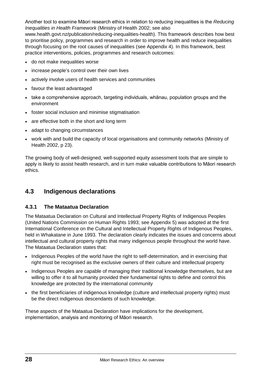Another tool to examine Māori research ethics in relation to reducing inequalities is the *Reducing Inequalities in Health Framework* (Ministry of Health 2002; see also

www.health.govt.nz/publication/reducing-inequalities-health). This framework describes how best to prioritise policy, programmes and research in order to improve health and reduce inequalities through focusing on the root causes of inequalities (see Appendix 4). In this framework, best practice interventions, policies, programmes and research outcomes:

- do not make inequalities worse
- increase people's control over their own lives
- actively involve users of health services and communities
- favour the least advantaged
- take a comprehensive approach, targeting individuals, whānau, population groups and the environment
- foster social inclusion and minimise stigmatisation
- are effective both in the short and long term
- adapt to changing circumstances
- work with and build the capacity of local organisations and community networks (Ministry of Health 2002, p 23).

The growing body of well-designed, well-supported equity assessment tools that are simple to apply is likely to assist health research, and in turn make valuable contributions to Māori research ethics.

### **4.3 Indigenous declarations**

#### **4.3.1 The Mataatua Declaration**

The Mataatua Declaration on Cultural and Intellectual Property Rights of Indigenous Peoples (United Nations Commission on Human Rights 1993; see Appendix 5) was adopted at the first International Conference on the Cultural and Intellectual Property Rights of Indigenous Peoples, held in Whakatane in June 1993. The declaration clearly indicates the issues and concerns about intellectual and cultural property rights that many indigenous people throughout the world have. The Mataatua Declaration states that:

- Indigenous Peoples of the world have the right to self-determination, and in exercising that right must be recognised as the exclusive owners of their culture and intellectual property
- Indigenous Peoples are capable of managing their traditional knowledge themselves, but are willing to offer it to all humanity provided their fundamental rights to define and control this knowledge are protected by the international community
- the first beneficiaries of indigenous knowledge (culture and intellectual property rights) must be the direct indigenous descendants of such knowledge.

These aspects of the Mataatua Declaration have implications for the development, implementation, analysis and monitoring of Māori research.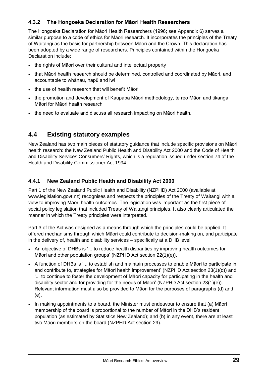#### **4.3.2 The Hongoeka Declaration for Māori Health Researchers**

The Hongoeka Declaration for Māori Health Researchers (1996; see Appendix 6) serves a similar purpose to a code of ethics for Māori research. It incorporates the principles of the Treaty of Waitangi as the basis for partnership between Māori and the Crown. This declaration has been adopted by a wide range of researchers. Principles contained within the Hongoeka Declaration include:

- the rights of Māori over their cultural and intellectual property
- that Māori health research should be determined, controlled and coordinated by Māori, and accountable to whānau, hapū and iwi
- the use of health research that will benefit Māori
- the promotion and development of Kaupapa Māori methodology, te reo Māori and tikanga Māori for Māori health research
- the need to evaluate and discuss all research impacting on Māori health.

### **4.4 Existing statutory examples**

New Zealand has two main pieces of statutory guidance that include specific provisions on Māori health research: the New Zealand Public Health and Disability Act 2000 and the Code of Health and Disability Services Consumers' Rights, which is a regulation issued under section 74 of the Health and Disability Commissioner Act 1994.

#### **4.4.1 New Zealand Public Health and Disability Act 2000**

Part 1 of the New Zealand Public Health and Disability (NZPHD) Act 2000 (available at [www.legislation.govt.nz\)](http://www.legislation.govt.nz/) recognises and respects the principles of the Treaty of Waitangi with a view to improving Māori health outcomes. The legislation was important as the first piece of social policy legislation that included Treaty of Waitangi principles. It also clearly articulated the manner in which the Treaty principles were interpreted.

Part 3 of the Act was designed as a means through which the principles could be applied. It offered mechanisms through which Māori could contribute to decision-making on, and participate in the delivery of, health and disability services – specifically at a DHB level.

- An objective of DHBs is '... to reduce health disparities by improving health outcomes for Māori and other population groups' (NZPHD Act section 22(1)(e)).
- A function of DHBs is '... to establish and maintain processes to enable Māori to participate in, and contribute to, strategies for Māori health improvement' (NZPHD Act section 23(1)(d)) and '... to continue to foster the development of Māori capacity for participating in the health and disability sector and for providing for the needs of Māori' (NZPHD Act section 23(1)(e)). Relevant information must also be provided to Māori for the purposes of paragraphs [\(d\)](http://www.legislation.govt.nz/libraries/contents/om_isapi.dll?clientID=250255&hitsperheading=on&infobase=pal_statutes.nfo&jump=a2000-091%2fs.23-ss.1&softpage=DOC#JUMPDEST_a2000-091/s.23-ss.1) and [\(e\).](http://www.legislation.govt.nz/libraries/contents/om_isapi.dll?clientID=250255&hitsperheading=on&infobase=pal_statutes.nfo&jump=a2000-091%2fs.23-ss.1&softpage=DOC#JUMPDEST_a2000-091/s.23-ss.1)
- In making appointments to a board, the Minister must endeavour to ensure that (a) Māori membership of the board is proportional to the number of Māori in the DHB's resident population (as estimated by Statistics New Zealand); and (b) in any event, there are at least two Māori members on the board (NZPHD Act section 29).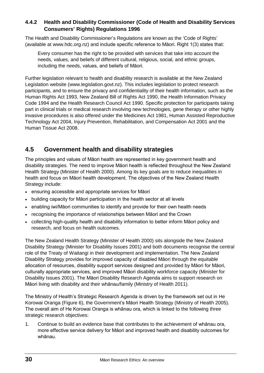#### **4.4.2 Health and Disability Commissioner (Code of Health and Disability Services Consumers' Rights) Regulations 1996**

The Health and Disability Commissioner's Regulations are known as the 'Code of Rights' (available at [www.hdc.org.nz\)](http://www.hdc.org.nz/) and include specific reference to Māori. Right 1(3) states that:

Every consumer has the right to be provided with services that take into account the needs, values, and beliefs of different cultural, religious, social, and ethnic groups, including the needs, values, and beliefs of Māori.

Further legislation relevant to health and disability research is available at the New Zealand Legislation website [\(www.legislation.govt.nz\)](http://www.legislation.govt.nz/). This includes legislation to protect research participants, and to ensure the privacy and confidentiality of their health information, such as the Human Rights Act 1993, New Zealand Bill of Rights Act 1990, the Health Information Privacy Code 1994 and the Health Research Council Act 1990. Specific protection for participants taking part in clinical trials or medical research involving new technologies, gene therapy or other highly invasive procedures is also offered under the Medicines Act 1981, Human Assisted Reproductive Technology Act 2004, Injury Prevention, Rehabilitation, and Compensation Act 2001 and the Human Tissue Act 2008.

# **4.5 Government health and disability strategies**

The principles and values of Māori health are represented in key government health and disability strategies. The need to improve Māori health is reflected throughout the New Zealand Health Strategy (Minister of Health 2000). Among its key goals are to reduce inequalities in health and focus on Māori health development. The objectives of the New Zealand Health Strategy include:

- ensuring accessible and appropriate services for Māori
- building capacity for Māori participation in the health sector at all levels
- enabling iwi/Māori communities to identify and provide for their own health needs
- recognising the importance of relationships between Māori and the Crown
- collecting high-quality health and disability information to better inform Māori policy and research, and focus on health outcomes.

The New Zealand Health Strategy (Minister of Health 2000) sits alongside the New Zealand Disability Strategy (Minister for Disability Issues 2001) and both documents recognise the central role of the Treaty of Waitangi in their development and implementation. The New Zealand Disability Strategy provides for improved capacity of disabled Māori through the equitable allocation of resources, disability support services designed and provided by Māori for Māori, culturally appropriate services, and improved Māori disability workforce capacity (Minister for Disability Issues 2001). The Māori Disability Research Agenda aims to support research on Māori living with disability and their whānau/family (Ministry of Health 2011).

The Ministry of Health's Strategic Research Agenda is driven by the framework set out in He Korowai Oranga (Figure 6), the Government's Māori Health Strategy (Ministry of Health 2005). The overall aim of He Korowai Oranga is whānau ora, which is linked to the following three strategic research objectives:

1. Continue to build an evidence base that contributes to the achievement of whānau ora, more effective service delivery for Māori and improved health and disability outcomes for whānau.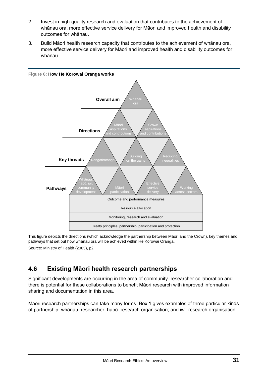- 2. Invest in high-quality research and evaluation that contributes to the achievement of whānau ora, more effective service delivery for Māori and improved health and disability outcomes for whānau.
- 3. Build Māori health research capacity that contributes to the achievement of whānau ora, more effective service delivery for Māori and improved health and disability outcomes for whānau.



This figure depicts the directions (which acknowledge the partnership between Māori and the Crown), key themes and pathways that set out how whānau ora will be achieved within He Korowai Oranga. Source: Ministry of Health (2005), p2

# **4.6 Existing Māori health research partnerships**

Significant developments are occurring in the area of community–researcher collaboration and there is potential for these collaborations to benefit Māori research with improved information sharing and documentation in this area.

Māori research partnerships can take many forms. Box 1 gives examples of three particular kinds of partnership: whānau–researcher; hapū–research organisation; and iwi–research organisation.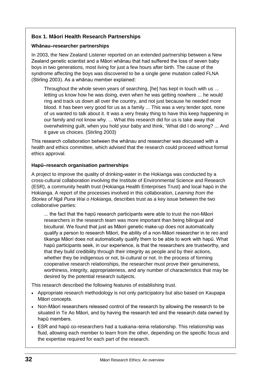#### **Box 1. Māori Health Research Partnerships**

#### **Whānau–researcher partnerships**

In 2003, the New Zealand Listener reported on an extended partnership between a New Zealand genetic scientist and a Māori whānau that had suffered the loss of seven baby boys in two generations, most living for just a few hours after birth. The cause of the syndrome affecting the boys was discovered to be a single gene mutation called FLNA (Stirling 2003). As a whānau member explained:

Throughout the whole seven years of searching, [he] has kept in touch with us ... letting us know how he was doing, even when he was getting nowhere ... he would ring and track us down all over the country, and not just because he needed more blood. It has been very good for us as a family ... This was a very tender spot, none of us wanted to talk about it. It was a very freaky thing to have this keep happening in our family and not know why. ... What this research did for us is take away that overwhelming guilt, when you hold your baby and think, 'What did I do wrong? ... And it gave us choices. (Stirling 2003)

This research collaboration between the whānau and researcher was discussed with a health and ethics committee, which advised that the research could proceed without formal ethics approval.

#### **Hapū–research organisation partnerships**

A project to improve the quality of drinking-water in the Hokianga was conducted by a cross-cultural collaboration involving the Institute of Environmental Science and Research (ESR), a community health trust (Hokianga Health Enterprises Trust) and local hapū in the Hokianga. A report of the processes involved in this collaboration, *Learning from the Stories of Ngā Puna Wai o Hokianga*, describes trust as a key issue between the two collaborative parties:

... the fact that the hapū research participants were able to trust the non-Māori researchers in the research team was more important than being bilingual and bicultural. We found that just as Māori genetic make-up does not automatically qualify a person to research Māori, the ability of a non-Māori researcher in te reo and tikanga Māori does not automatically qualify them to be able to work with hapū. What hapū participants seek, in our experience, is that the researchers are trustworthy, and that they build credibility through their integrity as people and by their actions, whether they be indigenous or not, bi-cultural or not. In the process of forming cooperative research relationships, the researcher must prove their genuineness, worthiness, integrity, appropriateness, and any number of characteristics that may be desired by the potential research subjects.

This research described the following features of establishing trust.

- Appropriate research methodology is not only participatory but also based on Kaupapa Māori concepts.
- Non-Māori researchers released control of the research by allowing the research to be situated in Te Ao Māori, and by having the research led and the research data owned by hapū members.
- ESR and hapū co-researchers had a tuakana–teina relationship. This relationship was fluid, allowing each member to learn from the other, depending on the specific focus and the expertise required for each part of the research.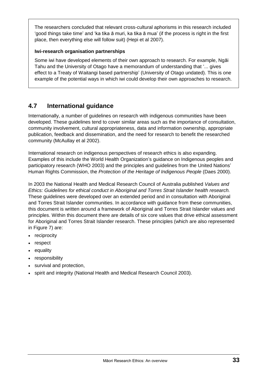The researchers concluded that relevant cross-cultural aphorisms in this research included 'good things take time' and 'ka tika ā muri, ka tika ā mua' (if the process is right in the first place, then everything else will follow suit) (Hepi et al 2007).

#### **Iwi-research organisation partnerships**

Some iwi have developed elements of their own approach to research. For example, Ngāi Tahu and the University of Otago have a memorandum of understanding that '... gives effect to a Treaty of Waitangi based partnership' (University of Otago undated). This is one example of the potential ways in which iwi could develop their own approaches to research.

# **4.7 International guidance**

Internationally, a number of guidelines on research with indigenous communities have been developed. These guidelines tend to cover similar areas such as the importance of consultation, community involvement, cultural appropriateness, data and information ownership, appropriate publication, feedback and dissemination, and the need for research to benefit the researched community (McAullay et al 2002).

International research on indigenous perspectives of research ethics is also expanding. Examples of this include the World Health Organization's guidance on Indigenous peoples and participatory research (WHO 2003) and the principles and guidelines from the United Nations' Human Rights Commission, the *Protection of the Heritage of Indigenous People* (Daes 2000).

In 2003 the National Health and Medical Research Council of Australia published *Values and Ethics: Guidelines for ethical conduct in Aboriginal and Torres Strait Islander health research.* These guidelines were developed over an extended period and in consultation with Aboriginal and Torres Strait Islander communities. In accordance with guidance from these communities, this document is written around a framework of Aboriginal and Torres Strait Islander values and principles. Within this document there are details of six core values that drive ethical assessment for Aboriginal and Torres Strait Islander research. These principles (which are also represented in Figure 7) are:

- reciprocity
- respect
- equality
- responsibility
- survival and protection,
- spirit and integrity (National Health and Medical Research Council 2003).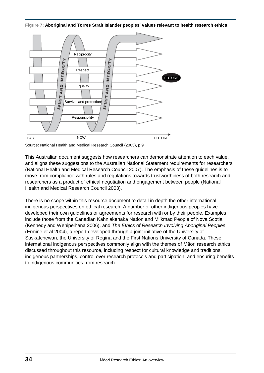**Figure 7: Aboriginal and Torres Strait Islander peoples' values relevant to health research ethics**



Source: National Health and Medical Research Council (2003), p 9

This Australian document suggests how researchers can demonstrate attention to each value, and aligns these suggestions to the Australian National Statement requirements for researchers (National Health and Medical Research Council 2007). The emphasis of these guidelines is to move from compliance with rules and regulations towards trustworthiness of both research and researchers as a product of ethical negotiation and engagement between people (National Health and Medical Research Council 2003).

There is no scope within this resource document to detail in depth the other international indigenous perspectives on ethical research. A number of other indigenous peoples have developed their own guidelines or agreements for research with or by their people. Examples include those from the Canadian Kahniakehaka Nation and Mi'kmaq People of Nova Scotia (Kennedy and Wehipeihana 2006), and *The Ethics of Research Involving Aboriginal Peoples*  (Ermine et al 2004)*,* a report developed through a joint initiative of the University of Saskatchewan, the University of Regina and the First Nations University of Canada. These international indigenous perspectives commonly align with the themes of Māori research ethics discussed throughout this resource, including respect for cultural knowledge and traditions, indigenous partnerships, control over research protocols and participation, and ensuring benefits to indigenous communities from research.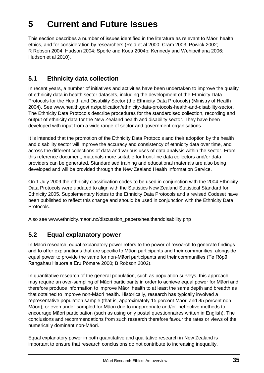# **5 Current and Future Issues**

This section describes a number of issues identified in the literature as relevant to Māori health ethics, and for consideration by researchers (Reid et al 2000; Cram 2003; Powick 2002; R Robson 2004; Hudson 2004; Sporle and Koea 2004b; Kennedy and Wehipeihana 2006; Hudson et al 2010).

### **5.1 Ethnicity data collection**

In recent years, a number of initiatives and activities have been undertaken to improve the quality of ethnicity data in health sector datasets, including the development of the Ethnicity Data Protocols for the Health and Disability Sector (the Ethnicity Data Protocols) (Ministry of Health 2004). See [www.health.govt.nz/publication/ethnicity-data-protocols-health-and-disability-sector.](http://www.health.govt.nz/publication/ethnicity-data-protocols-health-and-disability-sector) The Ethnicity Data Protocols describe procedures for the standardised collection, recording and output of ethnicity data for the New Zealand health and disability sector. They have been developed with input from a wide range of sector and government organisations.

It is intended that the promotion of the Ethnicity Data Protocols and their adoption by the health and disability sector will improve the accuracy and consistency of ethnicity data over time, and across the different collections of data and various uses of data analysis within the sector. From this reference document, materials more suitable for front-line data collectors and/or data providers can be generated. Standardised training and educational materials are also being developed and will be provided through the New Zealand Health Information Service.

On 1 July 2009 the ethnicity classification codes to be used in conjunction with the 2004 Ethnicity Data Protocols were updated to align with the Statistics New Zealand Statistical Standard for Ethnicity 2005. Supplementary Notes to the Ethnicity Data Protocols and a revised Codeset have been published to reflect this change and should be used in conjunction with the Ethnicity Data Protocols.

Also see www.ethnicity.maori.nz/discussion\_papers/healthanddisability.php

### **5.2 Equal explanatory power**

In Māori research, equal explanatory power refers to the power of research to generate findings and to offer explanations that are specific to Māori participants and their communities, alongside equal power to provide the same for non-Māori participants and their communities (Te Rōpū Rangahau Hauora a Eru Pōmare 2000; B Robson 2002).

In quantitative research of the general population, such as population surveys, this approach may require an over-sampling of Māori participants in order to achieve equal power for Māori and therefore produce information to improve Māori health to at least the same depth and breadth as that obtained to improve non-Māori health. Historically, research has typically involved a representative population sample (that is, approximately 15 percent Māori and 85 percent non-Māori), or even under-sampled for Māori due to inappropriate and/or ineffective methods to encourage Māori participation (such as using only postal questionnaires written in English). The conclusions and recommendations from such research therefore favour the rates or views of the numerically dominant non-Māori.

Equal explanatory power in both quantitative and qualitative research in New Zealand is important to ensure that research conclusions do not contribute to increasing inequality.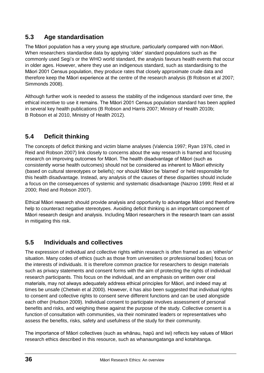# **5.3 Age standardisation**

The Māori population has a very young age structure, particularly compared with non-Māori. When researchers standardise data by applying 'older' standard populations such as the commonly used Segi's or the WHO world standard, the analysis favours health events that occur in older ages. However, where they use an indigenous standard, such as standardising to the Māori 2001 Census population, they produce rates that closely approximate crude data and therefore keep the Māori experience at the centre of the research analysis (B Robson et al 2007; Simmonds 2008).

Although further work is needed to assess the stability of the indigenous standard over time, the ethical incentive to use it remains. The Māori 2001 Census population standard has been applied in several key health publications (B Robson and Harris 2007; Ministry of Health 2010b; B Robson et al 2010, Ministry of Health 2012).

# **5.4 Deficit thinking**

The concepts of deficit thinking and victim blame analyses (Valencia 1997; Ryan 1976, cited in Reid and Robson 2007) link closely to concerns about the way research is framed and focusing research on improving outcomes for Māori. The health disadvantage of Māori (such as consistently worse health outcomes) should not be considered as inherent to Māori ethnicity (based on cultural stereotypes or beliefs); nor should Māori be 'blamed' or held responsible for this health disadvantage. Instead, any analysis of the causes of these disparities should include a focus on the consequences of systemic and systematic disadvantage (Nazroo 1999; Reid et al 2000; Reid and Robson 2007).

Ethical Māori research should provide analysis and opportunity to advantage Māori and therefore help to counteract negative stereotypes. Avoiding deficit thinking is an important component of Māori research design and analysis. Including Māori researchers in the research team can assist in mitigating this risk.

# **5.5 Individuals and collectives**

The expression of individual and collective rights within research is often framed as an 'either/or' situation. Many codes of ethics (such as those from universities or professional bodies) focus on the interests of individuals. It is therefore common practice for researchers to design materials such as privacy statements and consent forms with the aim of protecting the rights of individual research participants. This focus on the individual, and an emphasis on written over oral materials, may not always adequately address ethical principles for Māori, and indeed may at times be unsafe (Chetwin et al 2000). However, it has also been suggested that individual rights to consent and collective rights to consent serve different functions and can be used alongside each other (Hudson 2009). Individual consent to participate involves assessment of personal benefits and risks, and weighing these against the purpose of the study. Collective consent is a function of consultation with communities, via their nominated leaders or representatives who assess the benefits, risks, safety and usefulness of the study for their community.

The importance of Māori collectives (such as whānau, hapū and iwi) reflects key values of Māori research ethics described in this resource, such as whanaungatanga and kotahitanga.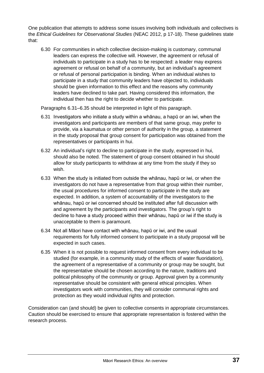One publication that attempts to address some issues involving both individuals and collectives is the *Ethical Guidelines for Observational Studies* (NEAC 2012, p 17-18). These guidelines state that:

6.30 For communities in which collective decision-making is customary, communal leaders can express the collective will. However, the agreement or refusal of individuals to participate in a study has to be respected: a leader may express agreement or refusal on behalf of a community, but an individual's agreement or refusal of personal participation is binding. When an individual wishes to participate in a study that community leaders have objected to, individuals should be given information to this effect and the reasons why community leaders have declined to take part. Having considered this information, the individual then has the right to decide whether to participate.

Paragraphs 6.31–6.35 should be interpreted in light of this paragraph.

- 6.31 Investigators who initiate a study within a whānau, a hapū or an iwi, when the investigators and participants are members of that same group, may prefer to provide, via a kaumatua or other person of authority in the group, a statement in the study proposal that group consent for participation was obtained from the representatives or participants in hui.
- 6.32 An individual's right to decline to participate in the study, expressed in hui, should also be noted. The statement of group consent obtained in hui should allow for study participants to withdraw at any time from the study if they so wish.
- 6.33 When the study is initiated from outside the whānau, hapū or iwi, or when the investigators do not have a representative from that group within their number, the usual procedures for informed consent to participate in the study are expected. In addition, a system of accountability of the investigators to the whānau, hapū or iwi concerned should be instituted after full discussion with and agreement by the participants and investigators. The group's right to decline to have a study proceed within their whānau, hapū or iwi if the study is unacceptable to them is paramount.
- 6.34 Not all Māori have contact with whānau, hapū or iwi, and the usual requirements for fully informed consent to participate in a study proposal will be expected in such cases.
- 6.35 When it is not possible to request informed consent from every individual to be studied (for example, in a community study of the effects of water fluoridation), the agreement of a representative of a community or group may be sought, but the representative should be chosen according to the nature, traditions and political philosophy of the community or group. Approval given by a community representative should be consistent with general ethical principles. When investigators work with communities, they will consider communal rights and protection as they would individual rights and protection.

Consideration can (and should) be given to collective consents in appropriate circumstances. Caution should be exercised to ensure that appropriate representation is fostered within the research process.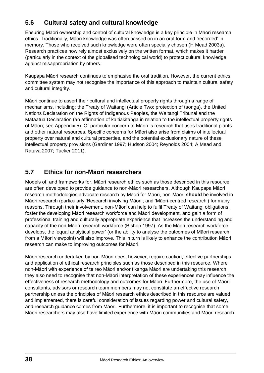# **5.6 Cultural safety and cultural knowledge**

Ensuring Māori ownership and control of cultural knowledge is a key principle in Māori research ethics. Traditionally, Māori knowledge was often passed on in an oral form and 'recorded' in memory. Those who received such knowledge were often specially chosen (H Mead 2003a). Research practices now rely almost exclusively on the written format, which makes it harder (particularly in the context of the globalised technological world) to protect cultural knowledge against misappropriation by others.

Kaupapa Māori research continues to emphasise the oral tradition. However, the current ethics committee system may not recognise the importance of this approach to maintain cultural safety and cultural integrity.

Māori continue to assert their cultural and intellectual property rights through a range of mechanisms, including: the Treaty of Waitangi (Article Two: protection of taonga), the United Nations Declaration on the Rights of Indigenous Peoples, the Waitangi Tribunal and the Mataatua Declaration (an affirmation of kaitiakitanga in relation to the intellectual property rights of Māori; see Appendix 5). Of particular concern to Māori is research that uses traditional plants and other natural resources. Specific concerns for Māori also arise from claims of intellectual property over natural and cultural properties, and the potential exclusionary nature of these intellectual property provisions (Gardiner 1997; Hudson 2004; Reynolds 2004; A Mead and Ratuva 2007; Tucker 2011).

# **5.7 Ethics for non-Māori researchers**

Models of, and frameworks for, Māori research ethics such as those described in this resource are often developed to provide guidance to non-Māori researchers. Although Kaupapa Māori research methodologies advocate research by Māori for Māori, non-Māori **should** be involved in Māori research (particularly 'Research involving Māori'; and 'Māori-centred research') for many reasons. Through their involvement, non-Māori can help to fulfil Treaty of Waitangi obligations, foster the developing Māori research workforce and Māori development, and gain a form of professional training and culturally appropriate experience that increases the understanding and capacity of the non-Māori research workforce (Bishop 1997). As the Māori research workforce develops, the 'equal analytical power' (or the ability to analyse the outcomes of Māori research from a Māori viewpoint) will also improve. This in turn is likely to enhance the contribution Māori research can make to improving outcomes for Māori.

Māori research undertaken by non-Māori does, however, require caution, effective partnerships and application of ethical research principles such as those described in this resource. Where non-Māori with experience of te reo Māori and/or tikanga Māori are undertaking this research, they also need to recognise that non-Māori interpretation of these experiences may influence the effectiveness of research methodology and outcomes for Māori. Furthermore, the use of Māori consultants, advisors or research team members may not constitute an effective research partnership unless the principles of Māori research ethics described in this resource are valued and implemented, there is careful consideration of issues regarding power and cultural safety, and research guidance comes from Māori. Furthermore, it is important to recognise that some Māori researchers may also have limited experience with Māori communities and Māori research.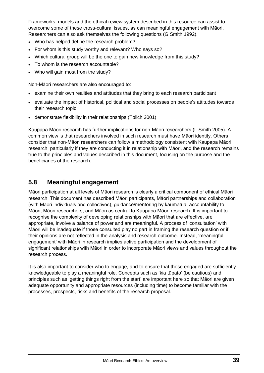Frameworks, models and the ethical review system described in this resource can assist to overcome some of these cross-cultural issues, as can meaningful engagement with Māori. Researchers can also ask themselves the following questions (G Smith 1992).

- Who has helped define the research problem?
- For whom is this study worthy and relevant? Who says so?
- Which cultural group will be the one to gain new knowledge from this study?
- To whom is the research accountable?
- Who will gain most from the study?

Non-Māori researchers are also encouraged to:

- examine their own realities and attitudes that they bring to each research participant
- evaluate the impact of historical, political and social processes on people's attitudes towards their research topic
- demonstrate flexibility in their relationships (Tolich 2001).

Kaupapa Māori research has further implications for non-Māori researchers (L Smith 2005). A common view is that researchers involved in such research must have Māori identity. Others consider that non-Māori researchers can follow a methodology consistent with Kaupapa Māori research, particularly if they are conducting it in relationship with Māori, and the research remains true to the principles and values described in this document, focusing on the purpose and the beneficiaries of the research.

### **5.8 Meaningful engagement**

Māori participation at all levels of Māori research is clearly a critical component of ethical Māori research. This document has described Māori participants, Māori partnerships and collaboration (with Māori individuals and collectives), guidance/mentoring by kaumātua, accountability to Māori, Māori researchers, and Māori as central to Kaupapa Māori research. It is important to recognise the complexity of developing relationships with Māori that are effective, are appropriate, involve a balance of power and are meaningful. A process of 'consultation' with Māori will be inadequate if those consulted play no part in framing the research question or if their opinions are not reflected in the analysis and research outcome. Instead, 'meaningful engagement' with Māori in research implies active participation and the development of significant relationships with Māori in order to incorporate Māori views and values throughout the research process.

It is also important to consider who to engage, and to ensure that those engaged are sufficiently knowledgeable to play a meaningful role. Concepts such as 'kia tūpato' (be cautious) and principles such as 'getting things right from the start' are important here so that Māori are given adequate opportunity and appropriate resources (including time) to become familiar with the processes, prospects, risks and benefits of the research proposal.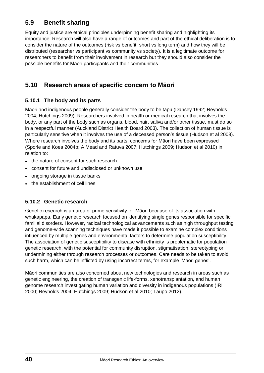# **5.9 Benefit sharing**

Equity and justice are ethical principles underpinning benefit sharing and highlighting its importance. Research will also have a range of outcomes and part of the ethical deliberation is to consider the nature of the outcomes (risk vs benefit, short vs long term) and how they will be distributed (researcher vs participant vs community vs society). It is a legitimate outcome for researchers to benefit from their involvement in research but they should also consider the possible benefits for Māori participants and their communities.

# **5.10 Research areas of specific concern to Māori**

#### **5.10.1 The body and its parts**

Māori and indigenous people generally consider the body to be tapu (Dansey 1992; Reynolds 2004; Hutchings 2009). Researchers involved in health or medical research that involves the body, or any part of the body such as organs, blood, hair, saliva and/or other tissue, must do so in a respectful manner (Auckland District Health Board 2003). The collection of human tissue is particularly sensitive when it involves the use of a deceased person's tissue (Hudson et al 2008). Where research involves the body and its parts, concerns for Māori have been expressed (Sporle and Koea 2004b; A Mead and Ratuva 2007; Hutchings 2009; Hudson et al 2010) in relation to:

- the nature of consent for such research
- consent for future and undisclosed or unknown use
- ongoing storage in tissue banks
- the establishment of cell lines.

#### **5.10.2 Genetic research**

Genetic research is an area of prime sensitivity for Māori because of its association with whakapapa. Early genetic research focused on identifying single genes responsible for specific familial disorders. However, radical technological advancements such as high throughput testing and genome-wide scanning techniques have made it possible to examine complex conditions influenced by multiple genes and environmental factors to determine population susceptibility. The association of genetic susceptibility to disease with ethnicity is problematic for population genetic research, with the potential for community disruption, stigmatisation, stereotyping or undermining either through research processes or outcomes. Care needs to be taken to avoid such harm, which can be inflicted by using incorrect terms, for example 'Māori genes'.

Māori communities are also concerned about new technologies and research in areas such as genetic engineering, the creation of transgenic life-forms, xenotransplantation, and human genome research investigating human variation and diversity in indigenous populations (IRI 2000; Reynolds 2004; Hutchings 2009; Hudson et al 2010; Taupo 2012).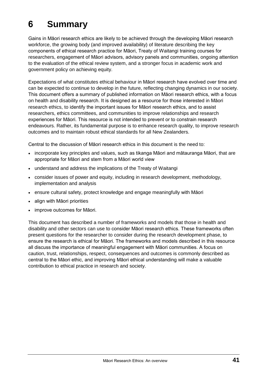# **6 Summary**

Gains in Māori research ethics are likely to be achieved through the developing Māori research workforce, the growing body (and improved availability) of literature describing the key components of ethical research practice for Māori, Treaty of Waitangi training courses for researchers, engagement of Māori advisors, advisory panels and communities, ongoing attention to the evaluation of the ethical review system, and a stronger focus in academic work and government policy on achieving equity.

Expectations of what constitutes ethical behaviour in Māori research have evolved over time and can be expected to continue to develop in the future, reflecting changing dynamics in our society. This document offers a summary of published information on Māori research ethics, with a focus on health and disability research. It is designed as a resource for those interested in Māori research ethics, to identify the important issues for Māori research ethics, and to assist researchers, ethics committees, and communities to improve relationships and research experiences for Māori. This resource is not intended to prevent or to constrain research endeavours. Rather, its fundamental purpose is to enhance research quality, to improve research outcomes and to maintain robust ethical standards for all New Zealanders.

Central to the discussion of Māori research ethics in this document is the need to:

- incorporate key principles and values, such as tikanga Māori and mātauranga Māori, that are appropriate for Māori and stem from a Māori world view
- understand and address the implications of the Treaty of Waitangi
- consider issues of power and equity, including in research development, methodology, implementation and analysis
- ensure cultural safety, protect knowledge and engage meaningfully with Māori
- align with Māori priorities
- improve outcomes for Māori.

This document has described a number of frameworks and models that those in health and disability and other sectors can use to consider Māori research ethics. These frameworks often present questions for the researcher to consider during the research development phase, to ensure the research is ethical for Māori. The frameworks and models described in this resource all discuss the importance of meaningful engagement with Māori communities. A focus on caution, trust, relationships, respect, consequences and outcomes is commonly described as central to the Māori ethic, and improving Māori ethical understanding will make a valuable contribution to ethical practice in research and society.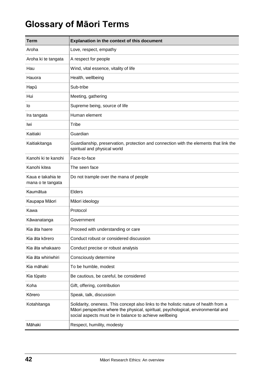# **Glossary of Māori Terms**

| <b>Term</b>                            | Explanation in the context of this document                                                                                                                                                                                         |
|----------------------------------------|-------------------------------------------------------------------------------------------------------------------------------------------------------------------------------------------------------------------------------------|
| Aroha                                  | Love, respect, empathy                                                                                                                                                                                                              |
| Aroha ki te tangata                    | A respect for people                                                                                                                                                                                                                |
| Hau                                    | Wind, vital essence, vitality of life                                                                                                                                                                                               |
| Hauora                                 | Health, wellbeing                                                                                                                                                                                                                   |
| Hapū                                   | Sub-tribe                                                                                                                                                                                                                           |
| Hui                                    | Meeting, gathering                                                                                                                                                                                                                  |
| lo                                     | Supreme being, source of life                                                                                                                                                                                                       |
| Ira tangata                            | Human element                                                                                                                                                                                                                       |
| Iwi                                    | Tribe                                                                                                                                                                                                                               |
| Kaitiaki                               | Guardian                                                                                                                                                                                                                            |
| Kaitiakitanga                          | Guardianship, preservation, protection and connection with the elements that link the<br>spiritual and physical world                                                                                                               |
| Kanohi ki te kanohi                    | Face-to-face                                                                                                                                                                                                                        |
| Kanohi kitea                           | The seen face                                                                                                                                                                                                                       |
| Kaua e takahia te<br>mana o te tangata | Do not trample over the mana of people                                                                                                                                                                                              |
| Kaumātua                               | <b>Elders</b>                                                                                                                                                                                                                       |
| Kaupapa Māori                          | Māori ideology                                                                                                                                                                                                                      |
| Kawa                                   | Protocol                                                                                                                                                                                                                            |
| Kāwanatanga                            | Government                                                                                                                                                                                                                          |
| Kia āta haere                          | Proceed with understanding or care                                                                                                                                                                                                  |
| Kia āta kōrero                         | Conduct robust or considered discussion                                                                                                                                                                                             |
| Kia āta whakaaro                       | Conduct precise or robust analysis                                                                                                                                                                                                  |
| Kia āta whiriwhiri                     | Consciously determine                                                                                                                                                                                                               |
| Kia māhaki                             | To be humble, modest                                                                                                                                                                                                                |
| Kia tūpato                             | Be cautious, be careful, be considered                                                                                                                                                                                              |
| Koha                                   | Gift, offering, contribution                                                                                                                                                                                                        |
| Kōrero                                 | Speak, talk, discussion                                                                                                                                                                                                             |
| Kotahitanga                            | Solidarity, oneness. This concept also links to the holistic nature of health from a<br>Māori perspective where the physical, spiritual, psychological, environmental and<br>social aspects must be in balance to achieve wellbeing |
| Māhaki                                 | Respect, humility, modesty                                                                                                                                                                                                          |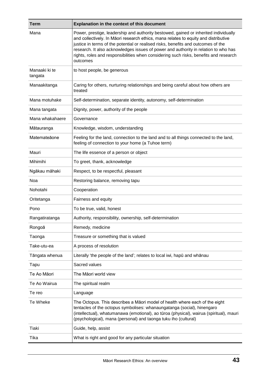| <b>Term</b>              | Explanation in the context of this document                                                                                                                                                                                                                                                                                                                                                                                                                  |
|--------------------------|--------------------------------------------------------------------------------------------------------------------------------------------------------------------------------------------------------------------------------------------------------------------------------------------------------------------------------------------------------------------------------------------------------------------------------------------------------------|
| Mana                     | Power, prestige, leadership and authority bestowed, gained or inherited individually<br>and collectively. In Māori research ethics, mana relates to equity and distributive<br>justice in terms of the potential or realised risks, benefits and outcomes of the<br>research. It also acknowledges issues of power and authority in relation to who has<br>rights, roles and responsibilities when considering such risks, benefits and research<br>outcomes |
| Manaaki ki te<br>tangata | to host people, be generous                                                                                                                                                                                                                                                                                                                                                                                                                                  |
| Manaakitanga             | Caring for others, nurturing relationships and being careful about how others are<br>treated                                                                                                                                                                                                                                                                                                                                                                 |
| Mana motuhake            | Self-determination, separate identity, autonomy, self-determination                                                                                                                                                                                                                                                                                                                                                                                          |
| Mana tangata             | Dignity, power, authority of the people                                                                                                                                                                                                                                                                                                                                                                                                                      |
| Mana whakahaere          | Governance                                                                                                                                                                                                                                                                                                                                                                                                                                                   |
| Mātauranga               | Knowledge, wisdom, understanding                                                                                                                                                                                                                                                                                                                                                                                                                             |
| Matemateãone             | Feeling for the land, connection to the land and to all things connected to the land,<br>feeling of connection to your home (a Tuhoe term)                                                                                                                                                                                                                                                                                                                   |
| Mauri                    | The life essence of a person or object                                                                                                                                                                                                                                                                                                                                                                                                                       |
| Mihimihi                 | To greet, thank, acknowledge                                                                                                                                                                                                                                                                                                                                                                                                                                 |
| Ngākau māhaki            | Respect, to be respectful, pleasant                                                                                                                                                                                                                                                                                                                                                                                                                          |
| Noa                      | Restoring balance, removing tapu                                                                                                                                                                                                                                                                                                                                                                                                                             |
| Nohotahi                 | Cooperation                                                                                                                                                                                                                                                                                                                                                                                                                                                  |
| Oritetanga               | Fairness and equity                                                                                                                                                                                                                                                                                                                                                                                                                                          |
| Pono                     | To be true, valid, honest                                                                                                                                                                                                                                                                                                                                                                                                                                    |
| Rangatiratanga           | Authority, responsibility, ownership, self-determination                                                                                                                                                                                                                                                                                                                                                                                                     |
| Rongoā                   | Remedy, medicine                                                                                                                                                                                                                                                                                                                                                                                                                                             |
| Taonga                   | Treasure or something that is valued                                                                                                                                                                                                                                                                                                                                                                                                                         |
| Take-utu-ea              | A process of resolution                                                                                                                                                                                                                                                                                                                                                                                                                                      |
| Tāngata whenua           | Literally 'the people of the land'; relates to local iwi, hapu and whanau                                                                                                                                                                                                                                                                                                                                                                                    |
| Tapu                     | Sacred values                                                                                                                                                                                                                                                                                                                                                                                                                                                |
| Te Ao Māori              | The Māori world view                                                                                                                                                                                                                                                                                                                                                                                                                                         |
| Te Ao Wairua             | The spiritual realm                                                                                                                                                                                                                                                                                                                                                                                                                                          |
| Te reo                   | Language                                                                                                                                                                                                                                                                                                                                                                                                                                                     |
| Te Wheke                 | The Octopus. This describes a Māori model of health where each of the eight<br>tentacles of the octopus symbolises: whanaungatanga (social), hinengaro<br>(intellectual), whatumanawa (emotional), ao tūroa (physical), wairua (spiritual), mauri<br>(psychological), mana (personal) and taonga tuku iho (cultural)                                                                                                                                         |
| Tiaki                    | Guide, help, assist                                                                                                                                                                                                                                                                                                                                                                                                                                          |
| Tika                     | What is right and good for any particular situation                                                                                                                                                                                                                                                                                                                                                                                                          |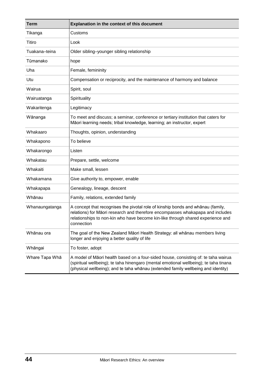| <b>Term</b>    | <b>Explanation in the context of this document</b>                                                                                                                                                                                                                 |
|----------------|--------------------------------------------------------------------------------------------------------------------------------------------------------------------------------------------------------------------------------------------------------------------|
| Tikanga        | Customs                                                                                                                                                                                                                                                            |
| Titiro         | Look                                                                                                                                                                                                                                                               |
| Tuakana-teina  | Older sibling-younger sibling relationship                                                                                                                                                                                                                         |
| Tūmanako       | hope                                                                                                                                                                                                                                                               |
| Uha            | Female, femininity                                                                                                                                                                                                                                                 |
| Utu            | Compensation or reciprocity, and the maintenance of harmony and balance                                                                                                                                                                                            |
| Wairua         | Spirit, soul                                                                                                                                                                                                                                                       |
| Wairuatanga    | Spirituality                                                                                                                                                                                                                                                       |
| Wakaritenga    | Legitimacy                                                                                                                                                                                                                                                         |
| Wānanga        | To meet and discuss; a seminar, conference or tertiary institution that caters for<br>Māori learning needs; tribal knowledge, learning; an instructor, expert                                                                                                      |
| Whakaaro       | Thoughts, opinion, understanding                                                                                                                                                                                                                                   |
| Whakapono      | To believe                                                                                                                                                                                                                                                         |
| Whakarongo     | Listen                                                                                                                                                                                                                                                             |
| Whakatau       | Prepare, settle, welcome                                                                                                                                                                                                                                           |
| Whakaiti       | Make small, lessen                                                                                                                                                                                                                                                 |
| Whakamana      | Give authority to, empower, enable                                                                                                                                                                                                                                 |
| Whakapapa      | Genealogy, lineage, descent                                                                                                                                                                                                                                        |
| Whānau         | Family, relations, extended family                                                                                                                                                                                                                                 |
| Whanaungatanga | A concept that recognises the pivotal role of kinship bonds and whānau (family,<br>relations) for Māori research and therefore encompasses whakapapa and includes<br>relationships to non-kin who have become kin-like through shared experience and<br>connection |
| Whānau ora     | The goal of the New Zealand Māori Health Strategy: all whānau members living<br>longer and enjoying a better quality of life                                                                                                                                       |
| Whāngai        | To foster, adopt                                                                                                                                                                                                                                                   |
| Whare Tapa Wha | A model of Māori health based on a four-sided house, consisting of: te taha wairua<br>(spiritual wellbeing); te taha hinengaro (mental emotional wellbeing); te taha tinana<br>(physical wellbeing); and te taha whānau (extended family wellbeing and identity)   |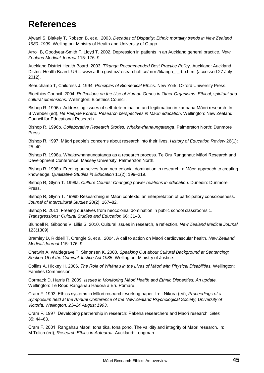# **References**

Ajwani S, Blakely T, Robson B, et al. 2003. *Decades of Disparity: Ethnic mortality trends in New Zealand 1980–1999.* Wellington: Ministry of Health and University of Otago.

Arroll B, Goodyear-Smith F, Lloyd T. 2002. Depression in patients in an Auckland general practice. *New Zealand Medical Journal* 115: 176–9.

Auckland District Health Board. 2003. *Tikanga Recommended Best Practice Policy*. Auckland: Auckland District Health Board. URL: www.adhb.govt.nz/researchoffice/mrrc/tikanga - rbp.html (accessed 27 July 2012).

Beauchamp T, Childress J. 1994. *Principles of Biomedical Ethics*. New York: Oxford University Press.

Bioethics Council. 2004. *Reflections on the Use of Human Genes in Other Organisms: Ethical, spiritual and cultural dimensions.* Wellington: Bioethics Council.

Bishop R. 1996a. Addressing issues of self-determination and legitimation in kaupapa Māori research. In: B Webber (ed), *He Paepae Kōrero: Research perspectives in Māori education*. Wellington: New Zealand Council for Educational Research.

Bishop R. 1996b. *Collaborative Research Stories: Whakawhanaungatanga*. Palmerston North: Dunmore Press.

Bishop R. 1997. Māori people's concerns about research into their lives. *History of Education Review* 26(1): 25–40.

Bishop R. 1998a. Whakawhanaungatanga as a research process. Te Oru Rangahau: Māori Research and Development Conference, Massey University, Palmerston North.

Bishop R. 1998b. Freeing ourselves from neo-colonial domination in research: a Māori approach to creating knowledge. *Qualitative Studies in Education* 11(2): 199–219.

Bishop R, Glynn T. 1999a. *Culture Counts: Changing power relations in education*. Dunedin: Dunmore Press.

Bishop R, Glynn T. 1999b Researching in Māori contexts: an interpretation of participatory consciousness. *Journal of Intercultural Studies* 20(2): 167–82.

Bishop R. 2011. Freeing ourselves from neocolonial domination in public school classrooms 1. *Transgressions: Cultural Studies and Education* 66: 31–3.

Blundell R, Gibbons V, Lillis S. 2010. Cultural issues in research, a reflection. *New Zealand Medical Journal* 123(1309).

Bramley D, Riddell T, Crengle S, et al. 2004. A call to action on Māori cardiovascular health. *New Zealand Medical Journal* 115: 176–9.

Chetwin A, Waldegrave T, Simonsen K. 2000. *Speaking Out about Cultural Background at Sentencing: Section 16 of the Criminal Justice Act 1985.* Wellington: Ministry of Justice.

Collins A, Hickey H. 2006. *The Role of Whānau in the Lives of Māori with Physical Disabilities.* Wellington: Families Commission.

Cormack D, Harris R. 2009. *Issues in Monitoring Māori Health and Ethnic Disparities: An update.* Wellington: Te Rōpū Rangahau Hauora a Eru Pōmare.

Cram F. 1993. Ethics systems in Māori research: working paper. In: I Nikora (ed), *Proceedings of a Symposium held at the Annual Conference of the New Zealand Psychological Society, University of Victoria, Wellington, 23–24 August 1993*.

Cram F. 1997. Developing partnership in research: Pākehā researchers and Māori research*. Sites* 35: 44–63.

Cram F. 2001. Rangahau Māori: tona tika, tona pono. The validity and integrity of Māori research. In: M Tolich (ed), *Research Ethics in Aotearoa*. Auckland: Longman.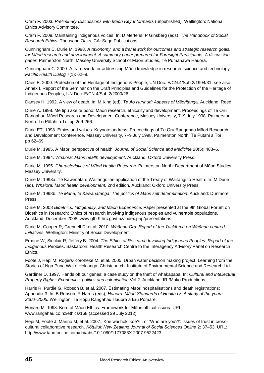Cram F. 2003. *Preliminary Discussions with Māori Key Informants* (unpublished)*.* Wellington: National Ethics Advisory Committee.

Cram F. 2009. Maintaining indigenous voices. In: D Mertens, P Ginsberg (eds), *The Handbook of Social Research Ethics*. Thousand Oaks, CA: Sage Publications.

Cunningham C, Durie M. 1998. *A taxonomy, and a framework for outcomes and strategic research goals, for Māori research and development. A summary paper prepared for Foresight Participants. A discussion paper.* Palmerston North: Massey University School of Māori Studies, Te Pumanawa Hauora.

Cunningham C. 2000. A framework for addressing Māori knowledge in research, science and technology. *Pacific Health Dialog* 7(1): 62–9.

Daes E. 2000. Protection of the Heritage of Indigenous People, UN Doc. E/CN.4/Sub.2/1994/31, see also: Annex I, Report of the Seminar on the Draft Principles and Guidelines for the Protection of the Heritage of Indigenous Peoples, UN Doc. E/CN.4/Sub.2/2000/26.

Dansey H. 1992. A view of death. In: M King (ed), *Te Ao Hurihuri: Aspects of Māoritang*a. Auckland: Reed.

Durie A. 1998. Me tipu ake te pono: Māori research, ethicality and development. Proceedings of Te Oru Rangahau Māori Research and Development Conference, Massey University, 7–9 July 1998. Palmerston North: Te Pūtahi a Toi pp 259-266.

Durie ET. 1998. Ethics and values. Keynote address. Proceedings of Te Oru Rangahau Māori Research and Development Conference, Massey University, 7–9 July 1998. Palmerston North: Te Pūtahi a Toi pp 62–69.

Durie M. 1985. A Māori perspective of health. *Journal of Social Science and Medicine* 20(5): 483–6.

Durie M. 1994. *Whaiora: Māori health development*. Auckland: Oxford University Press.

Durie M. 1995. *Characteristics of Māori Health Research*. Palmerston North: Department of Māori Studies, Massey University.

Durie M. 1998a. Te Kawenata o Waitangi: the application of the Treaty of Waitangi to Health. In: M Durie (ed), *Whaiora: Māori health development*. 2nd edition. Auckland: Oxford University Press.

Durie M. 1998b. *Te Mana, te Kawanatanga: The politics of Māori self determination*. Auckland: Dunmore Press.

Durie M. 2008 *Bioethics, Indigeneity, and Māori Experience*. Paper presented at the 9th Global Forum on Bioethics in Research: Ethics of research involving indigenous peoples and vulnerable populations. Auckland, December 2008. [www.gfbr9.hrc.govt.nz/index.php/presentations](http://www.gfbr9.hrc.govt.nz/index.php/presentations)

Durie M, Cooper R, Grennell D, et al. 2010. *Whānau Ora: Report of the Taskforce on Whānau-centred Initiatives*. Wellington: Ministry of Social Development.

Ermine W, Sinclair R, Jeffery B. 2004. *The Ethics of Research Involving Indigenous Peoples: Report of the Indigenous Peoples*. Saskatoon: Health Research Centre to the Interagency Advisory Panel on Research Ethics.

Foote J, Hepi M, Rogers-Koroheke M, et al. 2005. Urban water decision making project: Learning from the Stories of Nga Puna Wai o Hokianga. Christchurch: Institute of Environmental Science and Research Ltd.

Gardiner D. 1997. Hands off our genes: a case study on the theft of whakapapa. In: *Cultural and Intellectual Property Rights: Economics, politics and colonisation* Vol 2. Auckland: IRI/Moko Productions.

Harris R, Purdie G, Robson B, et al. 2007. Estimating Māori hospitalisations and death registrations: Appendix 3. In: B Robson, R Harris (eds), *Hauora: Māori Standards of Health IV. A study of the years 2000–2005.* Wellington: Te Rōpū Rangahau Hauora a Eru Pōmare.

Henare M. 1998. Koru of Māori Ethics. Framework for Māori ethical issues. URL: www.rangahau.co.nz/ethics/168 (accessed 29 July 2012).

Hepi M, Foote J, Marino M, et al. 2007. 'Koe wai hoki koe?!', or 'Who are you?!': issues of trust in crosscultural collaborative research. *Kōtuitui: New Zealand Journal of Social Sciences Online* 2: 37–53. URL: http://www.tandfonline.com/doi/abs/10.1080/1177083X.2007.9522423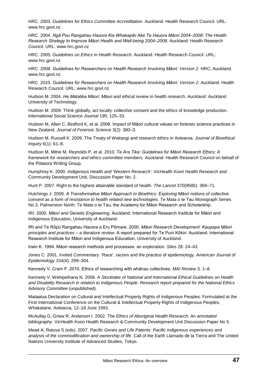HRC. 2003. *Guidelines for Ethics Committee Accreditation.* Auckland: Health Research Council. URL: [www.hrc.govt.nz](http://www.hrc.govt.nz/)

HRC. 2004. *Ngā Pou Rangahau Hauora Kia Whakapiki Ake Te Hauora Māori 2004–2008: The Health Research Strategy to Improve Māori Health and Well-being 2004–2008*. Auckland: Health Research Council. URL: [www.hrc.govt.nz](http://www.hrc.govt.nz/)

HRC. 2005. *Guidelines on Ethics in Health Research.* Auckland: Health Research Council. URL: [www.hrc.govt.nz](http://www.hrc.govt.nz/)

HRC. 2008. *Guidelines for Researchers on Health Research Involving Māori: Version 2*. HRC, Auckland. [www.hrc.govt.nz](http://www.hrc.govt.nz/)

HRC. 2010. *Guidelines for Researchers on Health Research Involving Māori: Version 2*. Auckland: Health Research Council. URL: [www.hrc.govt.nz](http://www.hrc.govt.nz/)

Hudson M. 2004. *He Matatika Māori: Māori and ethical review in health research*. Auckland: Auckland University of Technology.

Hudson M. 2009. Think globally, act locally: collective consent and the ethics of knowledge production. *International Social Science Journal* 195: 125–33.

Hudson M, Allan C, Bedford K, et al. 2008. Impact of Māori cultural values on forensic science practices in New Zealand. *Journal of Forensic Science* 3(2): 380–3.

Hudson M, Russell K. 2009. The Treaty of Waitangi and research ethics in Aotearoa. *Journal of Bioethical Inquiry* 6(1): 61–8.

Hudson M, Milne M, Reynolds P, et al. 2010. *Te Ara Tika: Guidelines for Māori Research Ethics: A framework for researchers and ethics committee members.* Auckland: Health Research Council on behalf of the Pūtaiora Writing Group.

Humphrey K. 2000. *Indigenous Health and 'Western Research'*. VicHealth Koori Health Research and Community Development Unit, Discussion Paper No. 2.

Hunt P. 2007. Right to the highest attainable standard of health. *The Lancet* 370(9585): 369–71.

Hutchings J. 2009. *A Transformative Māori Approach to Bioethics: Exploring Māori notions of collective consent as a form of resistance to health related new technologies.* Te Mata o te Tau Monograph Series No 3. Palmerston North: Te Mata o te Tau, the Academy for Māori Research and Scholarship.

IRI. 2000. *Māori and Genetic Engineering.* Auckland: International Research Institute for Māori and Indigenous Education, University of Auckland.

IRI and Te Rōpū Rangahau Hauora a Eru Pōmare. 2000. *Māori Research Development: Kaupapa Māori principles and practices – a literature review.* A report prepared for Te Puni Kōkiri. Auckland: International Research Institute for Māori and Indigenous Education, University of Auckland.

Irwin K. 1994. Māori research methods and processes: an exploration. *Sites* 28: 24–43.

Jones C. 2001. Invited Commentary: 'Race', racism and the practice of epidemiology. *American Journal of Epidemiology* 154(4): 299–304.

Kennedy V, Cram F. 2010. Ethics of researching with whānau collectives. *MAI Review* 3: 1–8.

Kennedy V, Wehipeihana N. 2006. *A Stocktake of National and International Ethical Guidelines on Health and Disability Research in relation to Indigenous People: Research report prepared for the National Ethics Advisory Committee* (unpublished)*.*

Mataatua Declaration on Cultural and Intellectual Property Rights of Indigenous Peoples. Formulated at the First International Conference on the Cultural & Intellectual Property Rights of Indigenous Peoples, Whakatane, Aotearoa, 12–18 June 1993.

McAullay D, Griew R, Anderson I. 2002. *The Ethics of Aboriginal Health Research: An annotated bibliography*. VicHealth Koori Health Research & Community Development Unit Discussion Paper No 5.

Mead A, Ratuva S (eds). 2007. *Pacific Genes and Life Patents: Pacific indigenous experiences and analysis of the commodification and ownership of life*. Call of the Earth Llamado de la Tierra and The United Nations University Institute of Advanced Studies, Tokyo.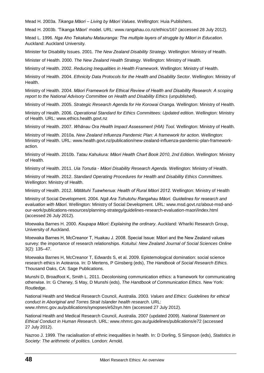Mead H. 2003a. *Tikanga Māori – Living by Māori Values*. Wellington: Huia Publishers.

Mead H. 2003b. 'Tikanga Māori' model. URL: [www.rangahau.co.nz/ethics/167](http://www.rangahau.co.nz/ethics/167/) (accessed 28 July 2012).

Mead L. 1996. *Nga Aho Tekakahu Matauranga: The multiple layers of struggle by Māori in Education.* Auckland: Auckland University.

Minister for Disability Issues. 2001. *The New Zealand Disability Strategy*. Wellington: Ministry of Health.

Minister of Health. 2000. *The New Zealand Health Strategy*. Wellington: Ministry of Health.

Ministry of Health. 2002. *Reducing Inequalities in Health Framework*. Wellington: Ministry of Health.

Ministry of Health. 2004. *Ethnicity Data Protocols for the Health and Disability Sector*. Wellington: Ministry of Health.

Ministry of Health. 2004. *Māori Framework for Ethical Review of Health and Disability Research: A scoping*  report to the National Advisory Committee on Health and Disability Ethics (unpublished).

Ministry of Health. 2005. *Strategic Research Agenda for He Korowai Oranga.* Wellington: Ministry of Health.

Ministry of Health. 2006. *Operational Standard for Ethics Committees: Updated edition*. Wellington: Ministry of Health. URL: [www.ethics.health.govt.nz](http://www.ethicscommittees.health.govt.nz/)

Ministry of Health. 2007. *Whānau Ora Health Impact Assessment (HIA) Tool*. Wellington: Ministry of Health.

Ministry of Health. 2010a. *New Zealand Influenza Pandemic Plan: A framework for action.* Wellington: Ministry of Health. URL: www.health.govt.nz/publication/new-zealand-influenza-pandemic-plan-frameworkaction.

Ministry of Health. 2010b. *Tatau Kahukura: Māori Health Chart Book 2010, 2nd Edition.* Wellington: Ministry of Health.

Ministry of Health. 2011. *Uia Tonutia* - *Māori Disability Research Agenda.* Wellington: Ministry of Health.

Ministry of Health. 2012. *Standard Operating Procedures for Health and Disability Ethics Committees.* Wellington: Ministry of Health.

Ministry of Health. 2012. *Mātātuhi Tuawhenua: Health of Rural Māori 2012.* Wellington: Ministry of Health

Ministry of Social Development. 2004. *Ngā Ara Tohutohu Rangahau Māori. Guidelines for research and evaluation with Māori.* Wellington: Ministry of Social Development. URL: [www.msd.govt.nz/about-msd-and](http://www.msd.govt.nz/about-msd-and-our-work/publications-resources/planning-strategy/guidelines-research-evaluation-maori/index.html)[our-work/publications-resources/planning-strategy/guidelines-research-evaluation-maori/index.html](http://www.msd.govt.nz/about-msd-and-our-work/publications-resources/planning-strategy/guidelines-research-evaluation-maori/index.html) (accessed 26 July 2012).

Moewaka Barnes H. 2000. *Kaupapa Māori: Explaining the ordinary*. Auckland: Whariki Research Group, University of Auckland.

Moewaka Barnes H, McCreanor T, Huakau J. 2008. Special Issue: Māori and the New Zealand values survey: the importance of research relationships. *Kotuitui: New Zealand Journal of Social Sciences Online* 3(2): 135–47.

Moewaka Barnes H, McCreanor T, Edwards S, et al. 2009. Epistemological domination: social science research ethics in Aotearoa. In: D Mertens, P Ginsberg (eds), *The Handbook of Social Research Ethics.* Thousand Oaks, CA: Sage Publications.

Munshi D, Broadfoot K, Smith L. 2011. Decolonising communication ethics: a framework for communicating otherwise. In: G Cheney, S May, D Munshi (eds), *The Handbook of Communication Ethics*. New York: Routledge.

National Health and Medical Research Council, Australia. 2003. *Values and Ethics: Guidelines for ethical conduct in Aboriginal and Torres Strait Islander health research*. URL: www.nhmrc.gov.au/publications/synopses/e52syn.htm (accessed 27 July 2012).

National Health and Medical Research Council, Australia. 2007 (updated 2009). *National Statement on Ethical Conduct in Human Research*. URL: [www.nhmrc.gov.au/guidelines/publications/e72](http://www.nhmrc.gov.au/guidelines/publications/e72) (accessed 27 July 2012).

Nazroo J. 1999. The racialisation of ethnic inequalities in health. In: D Dorling, S Simpson (eds), *Statistics in Society: The arithmetic of politics.* London: Arnold.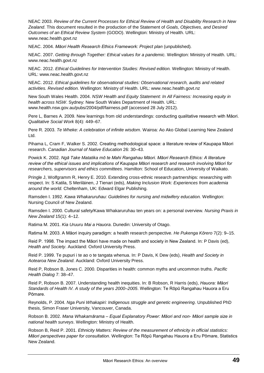NEAC 2003. *Review of the Current Processes for Ethical Review of Health and Disability Research in New Zealand*. This document resulted in the production of the Statement of *Goals, Objectives, and Desired Outcomes of an Ethical Review System* (GODO). Wellington: Ministry of Health. URL: [www.neac.health.govt.nz](http://www.neac.health.govt.nz/)

NEAC. 2004. *Māori Health Research Ethics Framework: Project plan* (unpublished)*.*

NEAC. 2007. *Getting through Together: Ethical values for a pandemic.* Wellington: Ministry of Health. URL: [www.neac.health.govt.nz](http://www.neac.health.govt.nz/)

NEAC. 2012. *Ethical Guidelines for Intervention Studies: Revised edition.* Wellington: Ministry of Health. URL: [www.neac.health.govt.nz](http://www.neac.health.govt.nz/)

NEAC. 2012. *Ethical guidelines for observational studies: Observational research, audits and related activities. Revised edition.* Wellington: Ministry of Health. URL: [www.neac.health.govt.nz](http://www.neac.health.govt.nz/)

New South Wales Health. 2004. *NSW Health and Equity Statement: In All Fairness: Increasing equity in health across NSW*. Sydney: New South Wales Department of Health. URL: [www.health.nsw.gov.au/pubs/2004/pdf/fairness.pdf](http://www.health.nsw.gov.au/pubs/2004/pdf/fairness.pdf) (accessed 28 July 2012).

Pere L, Barnes A. 2009. New learnings from old understandings: conducting qualitative research with Māori. *Qualitative Social Work* 8(4): 449–67.

Pere R. 2003. *Te Wheke: A celebration of infinite wisdom*. Wairoa: Ao Ako Global Learning New Zealand Ltd.

Pihama L, Cram F, Walker S. 2002. Creating methodological space: a literature review of Kaupapa Māori research. *Canadian Journal of Native Education* 26: 30–43.

Powick K. 2002. *Ngā Take Matatika mō te Mahi Rangahau Māori. Māori Research Ethics: A literature review of the ethical issues and implications of Kaupapa Māori research and research involving Māori for researchers, supervisors and ethics committees*. Hamilton: School of Education, University of Waikato.

Pringle J, Wolfgramm R, Henry E. 2010. Extending cross-ethnic research partnerships: researching with respect. In: S Katila, S Meriläinen, J Tienari (eds), *Making Inclusion Work: Experiences from academia around the world.* Cheltenham, UK: Edward Elgar Publishing.

Ramsden I. 1992. *Kawa Whakaruruhau: Guidelines for nursing and midwifery education.* Wellington: Nursing Council of New Zealand.

Ramsden I. 2000. Cultural safety/Kawa Whakaruruhau ten years on: a personal overview*. Nursing Praxis in New Zealand* 15(1): 4–12.

Ratima M. 2001. *Kia Uruuru Mai a Hauora*. Dunedin: University of Otago.

Ratima M. 2003. A Māori inquiry paradigm: a health research perspective. *He Pukenga Kōrero* 7(2): 9–15.

Reid P. 1998. The impact the Māori have made on health and society in New Zealand. In: P Davis (ed), *Health and Society*. Auckland: Oxford University Press.

Reid P. 1999. Te pupuri i te ao o te tangata whenua. In: P Davis, K Dew (eds), *Health and Society in Aotearoa New Zealand*. Auckland: Oxford University Press.

Reid P, Robson B, Jones C. 2000. Disparities in health: common myths and uncommon truths. *Pacific Health Dialog* 7: 38–47.

Reid P, Robson B. 2007. Understanding health inequities. In: B Robson, R Harris (eds), *Hauora: Māori Standards of Health IV. A study of the years 2000–2005*. Wellington: Te Rōpū Rangahau Hauora a Eru Pōmare.

Reynolds, P. 2004. *Nga Puni Whakapiri: Indigenous struggle and genetic engineering*. Unpublished PhD thesis, Simon Fraser University, Vancouver, Canada.

Robson B. 2002. *Mana Whakamārama – Equal Explanatory Power: Māori and non- Māori sample size in national health surveys*. Wellington: Ministry of Health.

Robson B, Reid P. 2001. *Ethnicity Matters: Review of the measurement of ethnicity in official statistics: Māori perspectives paper for consultation*. Wellington: Te Rōpū Rangahau Hauora a Eru Pōmare, Statistics New Zealand.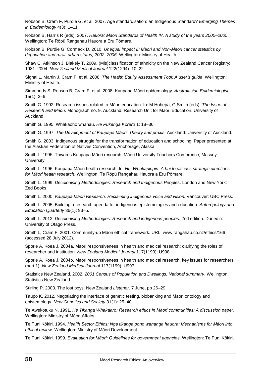Robson B, Cram F, Purdie G, et al. 2007. Age standardisation: an Indigenous Standard? *Emerging Themes in Epidemiology* 4(3): 1–11.

Robson B, Harris R (eds). 2007. *Hauora: Māori Standards of Health IV*. *A study of the years 2000–2005*. Wellington: Te Rōpū Rangahau Hauora a Eru Pōmare.

Robson B, Purdie G, Cormack D. 2010. *Unequal Impact II: Māori and Non-Māori cancer statistics by deprivation and rural–urban status, 2002–2006.* Wellington: Ministry of Health.

Shaw C, Atkinson J, Blakely T. 2009. (Mis)classification of ethnicity on the New Zealand Cancer Registry: 1981–2004. *New Zealand Medical Journal* 122(1294): 10–22.

Signal L, Martin J, Cram F, et al. 2008. *The Health Equity Assessment Tool: A user's guide*. Wellington: Ministry of Health.

Simmonds S, Robson B, Cram F, et al. 2008. Kaupapa Māori epidemiology. *Australasian Epidemiologist* 15(1): 3–6.

Smith G. 1992. Research issues related to Māori education. In: M Hohepa, G Smith (eds), *The Issue of Research and Māori*. Monograph no. 9. Auckland: Research Unit for Māori Education, University of Auckland.

Smith G. 1995. Whakaoho whānau. *He Pukenga Kōrero* 1: 18–36.

Smith G. 1997. *The Development of Kaupapa Māori: Theory and praxis*. Auckland: University of Auckland.

Smith G. 2003. Indigenous struggle for the transformation of education and schooling. Paper presented at the Alaskan Federation of Natives Convention, Anchorage, Alaska.

Smith L. 1995. Towards Kaupapa Māori research. Māori University Teachers Conference, Massey University.

Smith L. 1996. Kaupapa Māori health research. In: *Hui Whakapiripiri: A hui to discuss strategic directions for Māori health research*. Wellington: Te Rōpū Rangahau Hauora a Eru Pōmare.

Smith L. 1999. *Decolonising Methodologies: Research and Indigenous Peoples*. London and New York: Zed Books.

Smith L. 2000. *Kaupapa Māori Research. Reclaiming indigenous voice and vision.* Vancouver: UBC Press.

Smith L. 2005. Building a research agenda for indigenous epistemologies and education. *Anthropology and Education Quarterly* 36(1): 93–5.

Smith L. 2012. *Decolonising Methodologies: Research and indigenous peoples.* 2nd edition. Dunedin: University of Otago Press.

Smith L, Cram F. 2001. Community-up Māori ethical framework. URL: [www.rangahau.co.nz/ethics/166](http://www.rangahau.co.nz/ethics/166/) (accessed 28 July 2012).

Sporle A, Koea J. 2004a. Māori responsiveness in health and medical research: clarifying the roles of researcher and institution. *New Zealand Medical Journal* 117(1199): U998.

Sporle A, Koea J. 2004b. Māori responsiveness in health and medical research: key issues for researchers (part 1). *New Zealand Medical Journal* 117(1199): U997.

Statistics New Zealand. 2002. *2001 Census of Population and Dwellings: National summary*. Wellington: Statistics New Zealand.

Stirling P. 2003. The lost boys. New Zealand *Listener,* 7 June, pp 26–29.

Taupo K. 2012. Negotiating the interface of genetic testing, biobanking and Māori ontology and epistemology. *New Genetics and Society* 31(1): 25–40.

Te Awekotuku N. 1991. *He Tikanga Whakaaro: Research ethics in Māori communities: A discussion paper*. Wellington: Ministry of Māori Affairs.

Te Puni Kōkiri. 1994. *Health Sector Ethics: Nga tikanga pono wahanga hauora: Mechanisms for Māori into ethical review*. Wellington: Ministry of Māori Development.

Te Puni Kōkiri. 1999. *Evaluation for Māori: Guidelines for government agencies.* Wellington: Te Puni Kōkiri.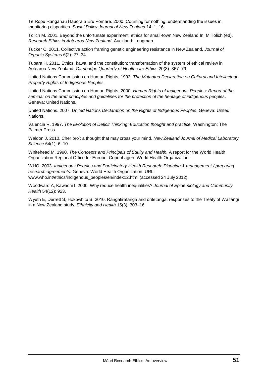Te Rōpū Rangahau Hauora a Eru Pōmare. 2000. Counting for nothing: understanding the issues in monitoring disparities. *Social Policy Journal of New Zealand* 14: 1–16.

Tolich M. 2001. Beyond the unfortunate experiment: ethics for small-town New Zealand In: M Tolich (ed), *Research Ethics in Aotearoa New Zealand*. Auckland: Longman.

Tucker C. 2011. Collective action framing genetic engineering resistance in New Zealand. *Journal of Organic Systems* 6(2): 27–34.

Tupara H. 2011. Ethics, kawa, and the constitution: transformation of the system of ethical review in Aotearoa New Zealand. *Cambridge Quarterly of Healthcare Ethics* 20(3): 367–79.

United Nations Commission on Human Rights. 1993. *The Mataatua Declaration on Cultural and Intellectual Property Rights of Indigenous Peoples.*

United Nations Commission on Human Rights. 2000. *Human Rights of Indigenous Peoples: Report of the seminar on the draft principles and guidelines for the protection of the heritage of indigenous peoples*. Geneva: United Nations.

United Nations. 2007. *United Nations Declaration on the Rights of Indigenous Peoples*. Geneva: United Nations.

Valencia R. 1997. *The Evolution of Deficit Thinking: Education thought and practice.* Washington: The Palmer Press.

Waldon J. 2010. Cher bro': a thought that may cross your mind. *New Zealand Journal of Medical Laboratory Science* 64(1): 6–10.

Whitehead M. 1990. *The Concepts and Principals of Equity and Health.* A report for the World Health Organization Regional Office for Europe. Copenhagen: World Health Organization.

WHO. 2003. *Indigenous Peoples and Participatory Health Research: Planning & management / preparing research agreements.* Geneva: World Health Organization. URL: [www.who.int/ethics/indigenous\\_peoples/en/index12.html](http://www.who.int/ethics/indigenous_peoples/en/index12.html) (accessed 24 July 2012).

Woodward A, Kawachi I. 2000. Why reduce health inequalities? *Journal of Epidemiology and Community Health* 54(12): 923.

Wyeth E, Derrett S, Hokowhitu B. 2010. Rangatiratanga and ōritetanga: responses to the Treaty of Waitangi in a New Zealand study. *Ethnicity and Health* 15(3): 303–16.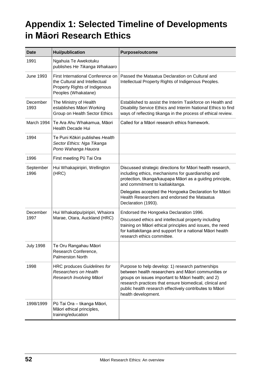# **Appendix 1: Selected Timeline of Developments in Māori Research Ethics**

| <b>Date</b>       | <b>Hui/publication</b>                                                                                                     | <b>Purpose/outcome</b>                                                                                                                                                                                                                                                                                      |
|-------------------|----------------------------------------------------------------------------------------------------------------------------|-------------------------------------------------------------------------------------------------------------------------------------------------------------------------------------------------------------------------------------------------------------------------------------------------------------|
| 1991              | Ngahuia Te Awekotuku<br>publishes He Tikanga Whakaaro                                                                      |                                                                                                                                                                                                                                                                                                             |
| <b>June 1993</b>  | First International Conference on<br>the Cultural and Intellectual<br>Property Rights of Indigenous<br>Peoples (Whakatane) | Passed the Mataatua Declaration on Cultural and<br>Intellectual Property Rights of Indigenous Peoples.                                                                                                                                                                                                      |
| December<br>1993  | The Ministry of Health<br>establishes Māori Working<br>Group on Health Sector Ethics                                       | Established to assist the Interim Taskforce on Health and<br>Disability Service Ethics and Interim National Ethics to find<br>ways of reflecting tikanga in the process of ethical review.                                                                                                                  |
| March 1994        | Te Ara Ahu Whakamua, Māori<br><b>Health Decade Hui</b>                                                                     | Called for a Māori research ethics framework.                                                                                                                                                                                                                                                               |
| 1994              | Te Puni Kōkiri publishes Health<br>Sector Ethics: Nga Tikanga<br>Pono Wahanga Hauora                                       |                                                                                                                                                                                                                                                                                                             |
| 1996              | First meeting Pū Tai Ora                                                                                                   |                                                                                                                                                                                                                                                                                                             |
| September<br>1996 | Hui Whakapiripiri, Wellington<br>(HRC)                                                                                     | Discussed strategic directions for Māori health research,<br>including ethics, mechanisms for guardianship and<br>protection, tikanga/kaupapa Māori as a guiding principle,<br>and commitment to kaitiakitanga.                                                                                             |
|                   |                                                                                                                            | Delegates accepted the Hongoeka Declaration for Māori<br>Health Researchers and endorsed the Mataatua<br>Declaration (1993).                                                                                                                                                                                |
| December          | Hui Whakatipu/piripiri, Whaiora                                                                                            | Endorsed the Hongoeka Declaration 1996.                                                                                                                                                                                                                                                                     |
| 1997              | Marae, Otara, Auckland (HRC)                                                                                               | Discussed ethics and intellectual property including<br>training on Māori ethical principles and issues, the need<br>for kaitiakitanga and support for a national Māori health<br>research ethics committee.                                                                                                |
| <b>July 1998</b>  | Te Oru Rangahau Māori<br>Research Conference,<br><b>Palmerston North</b>                                                   |                                                                                                                                                                                                                                                                                                             |
| 1998              | <b>HRC produces Guidelines for</b><br>Researchers on Health<br>Research Involving Māori                                    | Purpose to help develop: 1) research partnerships<br>between health researchers and Māori communities or<br>groups on issues important to Māori health; and 2)<br>research practices that ensure biomedical, clinical and<br>public health research effectively contributes to Māori<br>health development. |
| 1998/1999         | Pū Tai Ora - tikanga Māori,<br>Māori ethical principles,<br>training/education                                             |                                                                                                                                                                                                                                                                                                             |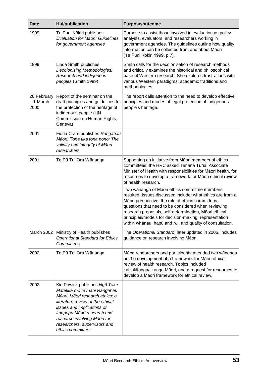| <b>Date</b>                      | <b>Hui/publication</b>                                                                                                                                                                                                                                                                 | <b>Purpose/outcome</b>                                                                                                                                                                                                                                                                                                                                                                                 |
|----------------------------------|----------------------------------------------------------------------------------------------------------------------------------------------------------------------------------------------------------------------------------------------------------------------------------------|--------------------------------------------------------------------------------------------------------------------------------------------------------------------------------------------------------------------------------------------------------------------------------------------------------------------------------------------------------------------------------------------------------|
| 1999                             | Te Puni Kōkiri publishes<br>Evaluation for Māori: Guidelines<br>for government agencies                                                                                                                                                                                                | Purpose to assist those involved in evaluation as policy<br>analysts, evaluators, and researchers working in<br>government agencies. The guidelines outline how quality<br>information can be collected from and about Māori<br>(Te Puni Kōkiri 1999, p 7).                                                                                                                                            |
| 1999                             | Linda Smith publishes<br>Decolonising Methodologies:<br>Research and indigenous<br>peoples (Smith 1999)                                                                                                                                                                                | Smith calls for the decolonisation of research methods<br>and critically examines the historical and philosophical<br>base of Western research. She explores frustrations with<br>various Western paradigms, academic traditions and<br>methodologies.                                                                                                                                                 |
| 28 February<br>- 1 March<br>2000 | Report of the seminar on the<br>draft principles and guidelines for<br>the protection of the heritage of<br>indigenous people (UN<br>Commission on Human Rights,<br>Geneva)                                                                                                            | The report calls attention to the need to develop effective<br>principles and modes of legal protection of indigenous<br>people's heritage.                                                                                                                                                                                                                                                            |
| 2001                             | Fiona Cram publishes Rangahau<br>Māori: Tona tika tona pono: The<br>validity and integrity of Māori<br>researchers                                                                                                                                                                     |                                                                                                                                                                                                                                                                                                                                                                                                        |
| 2001                             | Te Pū Tai Ora Wānanga                                                                                                                                                                                                                                                                  | Supporting an initiative from Māori members of ethics<br>committees, the HRC asked Tariana Turia, Associate<br>Minister of Health with responsibilities for Māori health, for<br>resources to develop a framework for Māori ethical review<br>of health research.                                                                                                                                      |
|                                  |                                                                                                                                                                                                                                                                                        | Two wānanga of Māori ethics committee members<br>resulted. Issues discussed include: what ethics are from a<br>Māori perspective, the role of ethics committees,<br>questions that need to be considered when reviewing<br>research proposals, self-determination, Māori ethical<br>principles/models for decision-making, representation<br>within whānau, hapū and iwi, and quality of consultation. |
| March 2002                       | Ministry of Health publishes<br><b>Operational Standard for Ethics</b><br><b>Committees</b>                                                                                                                                                                                            | The Operational Standard, later updated in 2006, includes<br>guidance on research involving Māori.                                                                                                                                                                                                                                                                                                     |
| 2002                             | Te Pū Tai Ora Wānanga                                                                                                                                                                                                                                                                  | Māori researchers and participants attended two wānanga<br>on the development of a framework for Māori ethical<br>review of health research. Topics included<br>kaitiakitanga/tikanga Māori, and a request for resources to<br>develop a Māori framework for ethical review.                                                                                                                           |
| 2002                             | Kiri Powick publishes Ngā Take<br>Matatika mō te mahi Rangahau<br>Māori. Māori research ethics: a<br>literature review of the ethical<br>issues and implications of<br>kaupapa Māori research and<br>research involving Māori for<br>researchers, supervisors and<br>ethics committees |                                                                                                                                                                                                                                                                                                                                                                                                        |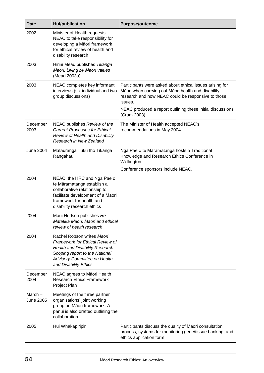| <b>Date</b>                | <b>Hui/publication</b>                                                                                                                                                                             | <b>Purpose/outcome</b>                                                                                                                                                                                                                         |
|----------------------------|----------------------------------------------------------------------------------------------------------------------------------------------------------------------------------------------------|------------------------------------------------------------------------------------------------------------------------------------------------------------------------------------------------------------------------------------------------|
| 2002                       | Minister of Health requests<br>NEAC to take responsibility for<br>developing a Māori framework<br>for ethical review of health and<br>disability research                                          |                                                                                                                                                                                                                                                |
| 2003                       | Hirini Mead publishes Tikanga<br>Māori: Living by Māori values<br>(Mead 2003a)                                                                                                                     |                                                                                                                                                                                                                                                |
| 2003                       | NEAC completes key informant<br>interviews (six individual and two<br>group discussions)                                                                                                           | Participants were asked about ethical issues arising for<br>Māori when carrying out Māori health and disability<br>research and how NEAC could be responsive to those<br>issues.<br>NEAC produced a report outlining these initial discussions |
|                            |                                                                                                                                                                                                    | (Cram 2003).                                                                                                                                                                                                                                   |
| December<br>2003           | NEAC publishes Review of the<br><b>Current Processes for Ethical</b><br>Review of Health and Disability<br>Research in New Zealand                                                                 | The Minister of Health accepted NEAC's<br>recommendations in May 2004.                                                                                                                                                                         |
| <b>June 2004</b>           | Mātauranga Tuku Iho Tikanga<br>Rangahau                                                                                                                                                            | Ngā Pae o te Māramatanga hosts a Traditional<br>Knowledge and Research Ethics Conference in<br>Wellington.<br>Conference sponsors include NEAC.                                                                                                |
| 2004                       | NEAC, the HRC and Nga Pae o<br>te Māramatanga establish a<br>collaborative relationship to<br>facilitate development of a Māori<br>framework for health and<br>disability research ethics          |                                                                                                                                                                                                                                                |
| 2004                       | Maui Hudson publishes He<br>Matatika Māori: Māori and ethical<br>review of health research                                                                                                         |                                                                                                                                                                                                                                                |
| 2004                       | Rachel Robson writes Māori<br>Framework for Ethical Review of<br>Health and Disability Research:<br>Scoping report to the National<br><b>Advisory Committee on Health</b><br>and Disability Ethics |                                                                                                                                                                                                                                                |
| December<br>2004           | NEAC agrees to Māori Health<br><b>Research Ethics Framework</b><br>Project Plan                                                                                                                    |                                                                                                                                                                                                                                                |
| March-<br><b>June 2005</b> | Meetings of the three partner<br>organisations' joint working<br>group on Māori framework. A<br>pānui is also drafted outlining the<br>collaboration                                               |                                                                                                                                                                                                                                                |
| 2005                       | Hui Whakapiripiri                                                                                                                                                                                  | Participants discuss the quality of Māori consultation<br>process, systems for monitoring gene/tissue banking, and<br>ethics application form.                                                                                                 |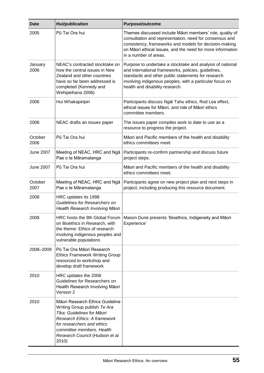| <b>Date</b>      | <b>Hui/publication</b>                                                                                                                                                                                                              | <b>Purpose/outcome</b>                                                                                                                                                                                                                                                |
|------------------|-------------------------------------------------------------------------------------------------------------------------------------------------------------------------------------------------------------------------------------|-----------------------------------------------------------------------------------------------------------------------------------------------------------------------------------------------------------------------------------------------------------------------|
| 2005             | Pū Tai Ora hui                                                                                                                                                                                                                      | Themes discussed include Māori members' role, quality of<br>consultation and representation, need for consensus and<br>consistency, frameworks and models for decision-making<br>on Māori ethical issues, and the need for more information<br>in a number of areas.  |
| January<br>2006  | NEAC's contracted stocktake on<br>how the central issues in New<br>Zealand and other countries<br>have so far been addressed is<br>completed (Kennedy and<br>Wehipeihana 2006)                                                      | Purpose to undertake a stocktake and analysis of national<br>and international frameworks, policies, guidelines,<br>standards and other public statements for research<br>involving indigenous peoples, with a particular focus on<br>health and disability research. |
| 2006             | Hui Whakapiripiri                                                                                                                                                                                                                   | Participants discuss Ngāi Tahu ethics, Rod Lea effect,<br>ethical issues for Māori, and role of Māori ethics<br>committee members.                                                                                                                                    |
| 2006             | NEAC drafts an issues paper                                                                                                                                                                                                         | The issues paper compiles work to date to use as a<br>resource to progress the project.                                                                                                                                                                               |
| October<br>2006  | Pū Tai Ora hui                                                                                                                                                                                                                      | Māori and Pacific members of the health and disability<br>ethics committees meet.                                                                                                                                                                                     |
| <b>June 2007</b> | Meeting of NEAC, HRC and Nga<br>Pae o te Māramatanga                                                                                                                                                                                | Participants re-confirm partnership and discuss future<br>project steps.                                                                                                                                                                                              |
| <b>June 2007</b> | Pū Tai Ora hui                                                                                                                                                                                                                      | Māori and Pacific members of the health and disability<br>ethics committees meet.                                                                                                                                                                                     |
| October<br>2007  | Meeting of NEAC, HRC and Nga<br>Pae o te Māramatanga                                                                                                                                                                                | Participants agree on new project plan and next steps in<br>project, including producing this resource document.                                                                                                                                                      |
| 2008             | HRC updates its 1998<br>Guidelines for Researchers on<br>Health Research Involving Māori                                                                                                                                            |                                                                                                                                                                                                                                                                       |
| 2008             | on Bioethics in Research, with<br>the theme: Ethics of research<br>involving indigenous peoples and<br>vulnerable populations                                                                                                       | HRC hosts the 9th Global Forum   Mason Durie presents 'Bioethics, Indigeneity and Māori<br>Experience'                                                                                                                                                                |
| 2008-2009        | Pū Tai Ora Māori Research<br><b>Ethics Framework Writing Group</b><br>resourced to workshop and<br>develop draft framework                                                                                                          |                                                                                                                                                                                                                                                                       |
| 2010             | HRC updates the 2008<br>Guidelines for Researchers on<br>Health Research Involving Māori<br>Version 2                                                                                                                               |                                                                                                                                                                                                                                                                       |
| 2010             | Māori Research Ethics Guideline<br>Writing Group publish Te Ara<br>Tika: Guidelines for Māori<br>Research Ethics: A framework<br>for researchers and ethics<br>committee members. Health<br>Research Council (Hudson et al<br>2010) |                                                                                                                                                                                                                                                                       |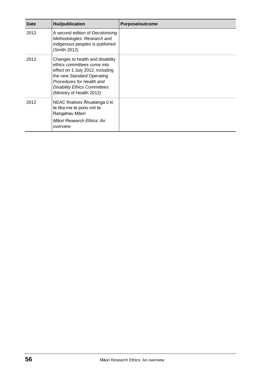| Date | <b>Hui/publication</b>                                                                                                                                                                                                             | <b>Purpose/outcome</b> |
|------|------------------------------------------------------------------------------------------------------------------------------------------------------------------------------------------------------------------------------------|------------------------|
| 2012 | A second edition of Decolonising<br>Methodologies: Research and<br>indigenous peoples is published<br>(Smith 2012)                                                                                                                 |                        |
| 2012 | Changes to health and disability<br>ethics committees come into<br>effect on 1 July 2012, including<br>the new Standard Operating<br>Procedures for Health and<br><b>Disability Ethics Committees</b><br>(Ministry of Health 2012) |                        |
| 2012 | NEAC finalises Āhuatanga ū ki<br>te tika me te pono mō te<br>Rangahau Māori<br>Māori Research Ethics: An<br>overview                                                                                                               |                        |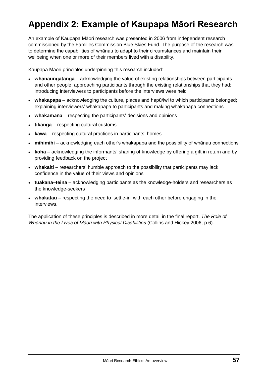# **Appendix 2: Example of Kaupapa Māori Research**

An example of Kaupapa Māori research was presented in 2006 from independent research commissioned by the Families Commission Blue Skies Fund. The purpose of the research was to determine the capabilities of whānau to adapt to their circumstances and maintain their wellbeing when one or more of their members lived with a disability.

Kaupapa Māori principles underpinning this research included:

- **whanaungatanga** acknowledging the value of existing relationships between participants and other people; approaching participants through the existing relationships that they had; introducing interviewers to participants before the interviews were held
- **whakapapa** acknowledging the culture, places and hapū/iwi to which participants belonged; explaining interviewers' whakapapa to participants and making whakapapa connections
- **whakamana** respecting the participants' decisions and opinions
- **tikanga** respecting cultural customs
- **kawa** respecting cultural practices in participants' homes
- **mihimihi** acknowledging each other's whakapapa and the possibility of whānau connections
- **koha** acknowledging the informants' sharing of knowledge by offering a gift in return and by providing feedback on the project
- **whakaiti** researchers' humble approach to the possibility that participants may lack confidence in the value of their views and opinions
- **tuakana–teina** acknowledging participants as the knowledge-holders and researchers as the knowledge-seekers
- **whakatau** respecting the need to 'settle-in' with each other before engaging in the interviews.

The application of these principles is described in more detail in the final report, *The Role of Whānau in the Lives of Māori with Physical Disabilities* (Collins and Hickey 2006, p 6).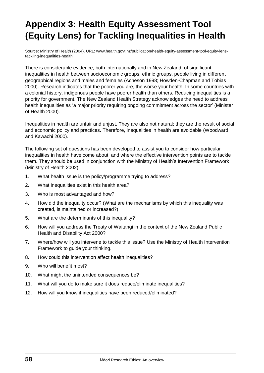# **Appendix 3: Health Equity Assessment Tool (Equity Lens) for Tackling Inequalities in Health**

Source: Ministry of Health (2004). URL: www.health.govt.nz/publication/health-equity-assessment-tool-equity-lenstackling-inequalities-health

There is considerable evidence, both internationally and in New Zealand, of significant inequalities in health between socioeconomic groups, ethnic groups, people living in different geographical regions and males and females (Acheson 1998; Howden-Chapman and Tobias 2000). Research indicates that the poorer you are, the worse your health. In some countries with a colonial history, indigenous people have poorer health than others. Reducing inequalities is a priority for government. The New Zealand Health Strategy acknowledges the need to address health inequalities as 'a major priority requiring ongoing commitment across the sector' (Minister of Health 2000).

Inequalities in health are unfair and unjust. They are also not natural; they are the result of social and economic policy and practices. Therefore, inequalities in health are avoidable (Woodward and Kawachi 2000).

The following set of questions has been developed to assist you to consider how particular inequalities in health have come about, and where the effective intervention points are to tackle them. They should be used in conjunction with the Ministry of Health's Intervention Framework (Ministry of Health 2002).

- 1. What health issue is the policy/programme trying to address?
- 2. What inequalities exist in this health area?
- 3. Who is most advantaged and how?
- 4. How did the inequality occur? (What are the mechanisms by which this inequality was created, is maintained or increased?)
- 5. What are the determinants of this inequality?
- 6. How will you address the Treaty of Waitangi in the context of the New Zealand Public Health and Disability Act 2000?
- 7. Where/how will you intervene to tackle this issue? Use the Ministry of Health Intervention Framework to guide your thinking.
- 8. How could this intervention affect health inequalities?
- 9. Who will benefit most?
- 10. What might the unintended consequences be?
- 11. What will you do to make sure it does reduce/eliminate inequalities?
- 12. How will you know if inequalities have been reduced/eliminated?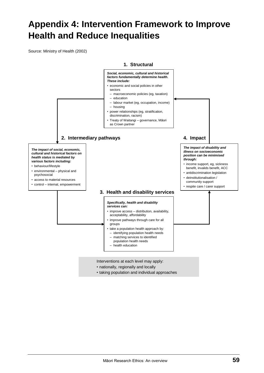# **Appendix 4: Intervention Framework to Improve Health and Reduce Inequalities**

Source: Ministry of Health (2002)



Interventions at each level may apply:

- nationally, regionally and locally
- taking population and individual approaches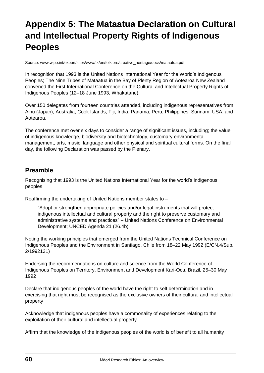# **Appendix 5: The Mataatua Declaration on Cultural and Intellectual Property Rights of Indigenous Peoples**

Source: [www.wipo.int/export/sites/www/tk/en/folklore/creative\\_heritage/docs/mataatua.pdf](http://www.wipo.int/export/sites/www/tk/en/folklore/creative_heritage/docs/mataatua.pdf)

In recognition that 1993 is the United Nations International Year for the World's Indigenous Peoples; The Nine Tribes of Mataatua in the Bay of Plenty Region of Aotearoa New Zealand convened the First International Conference on the Cultural and Intellectual Property Rights of Indigenous Peoples (12–18 June 1993, Whakatane).

Over 150 delegates from fourteen countries attended, including indigenous representatives from Ainu (Japan), Australia, Cook Islands, Fiji, India, Panama, Peru, Philippines, Surinam, USA, and Aotearoa.

The conference met over six days to consider a range of significant issues, including; the value of indigenous knowledge, biodiversity and biotechnology, customary environmental management, arts, music, language and other physical and spiritual cultural forms. On the final day, the following Declaration was passed by the Plenary.

### **Preamble**

Recognising that 1993 is the United Nations International Year for the world's indigenous peoples

Reaffirming the undertaking of United Nations member states to –

"Adopt or strengthen appropriate policies and/or legal instruments that will protect indigenous intellectual and cultural property and the right to preserve customary and administrative systems and practices" – United Nations Conference on Environmental Development; UNCED Agenda 21 (26.4b)

Noting the working principles that emerged from the United Nations Technical Conference on Indigenous Peoples and the Environment in Santiago, Chile from 18–22 May 1992 (E/CN.4/Sub. 2/1992131)

Endorsing the recommendations on culture and science from the World Conference of Indigenous Peoples on Territory, Environment and Development Kari-Oca, Brazil, 25–30 May 1992

Declare that indigenous peoples of the world have the right to self determination and in exercising that right must be recognised as the exclusive owners of their cultural and intellectual property

Acknowledge that indigenous peoples have a commonality of experiences relating to the exploitation of their cultural and intellectual property

Affirm that the knowledge of the indigenous peoples of the world is of benefit to all humanity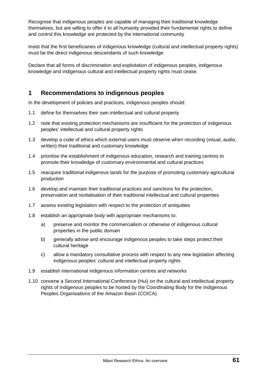Recognise that indigenous peoples are capable of managing their traditional knowledge themselves, but are willing to offer it to all humanity provided their fundamental rights to define and control this knowledge are protected by the international community

Insist that the first beneficiaries of indigenous knowledge (cultural and intellectual property rights) must be the direct indigenous descendants of such knowledge

Declare that all forms of discrimination and exploitation of indigenous peoples, indigenous knowledge and indigenous cultural and intellectual property rights must cease.

### **1 Recommendations to indigenous peoples**

In the development of policies and practices, indigenous peoples should:

- 1.1 define for themselves their own intellectual and cultural property
- 1.2 note that existing protection mechanisms are insufficient for the protection of indigenous peoples' intellectual and cultural property rights
- 1.3 develop a code of ethics which external users must observe when recording (visual, audio, written) their traditional and customary knowledge
- 1.4 prioritise the establishment of indigenous education, research and training centres to promote their knowledge of customary environmental and cultural practices
- 1.5 reacquire traditional indigenous lands for the purpose of promoting customary agricultural production
- 1.6 develop and maintain their traditional practices and sanctions for the protection, preservation and revitalisation of their traditional intellectual and cultural properties
- 1.7 assess existing legislation with respect to the protection of antiquities
- 1.8 establish an appropriate body with appropriate mechanisms to:
	- a) preserve and monitor the commercialism or otherwise of indigenous cultural properties in the public domain
	- b) generally advise and encourage indigenous peoples to take steps protect their cultural heritage
	- c) allow a mandatory consultative process with respect to any new legislation affecting indigenous peoples' cultural and intellectual property rights
- 1.9 establish international indigenous information centres and networks
- 1.10 convene a Second International Conference (Hui) on the cultural and intellectual property rights of indigenous peoples to be hosted by the Coordinating Body for the Indigenous Peoples Organisations of the Amazon Basin (COICA).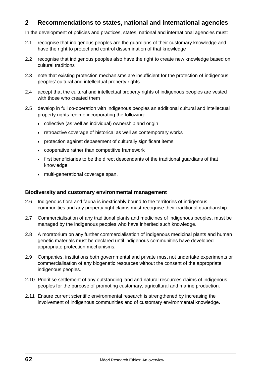### **2 Recommendations to states, national and international agencies**

In the development of policies and practices, states, national and international agencies must:

- 2.1 recognise that indigenous peoples are the guardians of their customary knowledge and have the right to protect and control dissemination of that knowledge
- 2.2 recognise that indigenous peoples also have the right to create new knowledge based on cultural traditions
- 2.3 note that existing protection mechanisms are insufficient for the protection of indigenous peoples' cultural and intellectual property rights
- 2.4 accept that the cultural and intellectual property rights of indigenous peoples are vested with those who created them
- 2.5 develop in full co-operation with indigenous peoples an additional cultural and intellectual property rights regime incorporating the following:
	- collective (as well as individual) ownership and origin
	- retroactive coverage of historical as well as contemporary works
	- protection against debasement of culturally significant items
	- cooperative rather than competitive framework
	- first beneficiaries to be the direct descendants of the traditional guardians of that knowledge
	- multi-generational coverage span.

#### **Biodiversity and customary environmental management**

- 2.6 Indigenous flora and fauna is inextricably bound to the territories of indigenous communities and any property right claims must recognise their traditional guardianship.
- 2.7 Commercialisation of any traditional plants and medicines of indigenous peoples, must be managed by the indigenous peoples who have inherited such knowledge.
- 2.8 A moratorium on any further commercialisation of indigenous medicinal plants and human genetic materials must be declared until indigenous communities have developed appropriate protection mechanisms.
- 2.9 Companies, institutions both governmental and private must not undertake experiments or commercialisation of any biogenetic resources without the consent of the appropriate indigenous peoples.
- 2.10 Prioritise settlement of any outstanding land and natural resources claims of indigenous peoples for the purpose of promoting customary, agricultural and marine production.
- 2.11 Ensure current scientific environmental research is strengthened by increasing the involvement of indigenous communities and of customary environmental knowledge.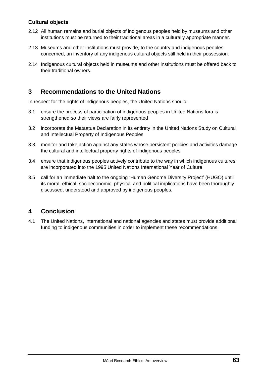#### **Cultural objects**

- 2.12 All human remains and burial objects of indigenous peoples held by museums and other institutions must be returned to their traditional areas in a culturally appropriate manner.
- 2.13 Museums and other institutions must provide, to the country and indigenous peoples concerned, an inventory of any indigenous cultural objects still held in their possession.
- 2.14 Indigenous cultural objects held in museums and other institutions must be offered back to their traditional owners.

### **3 Recommendations to the United Nations**

In respect for the rights of indigenous peoples, the United Nations should:

- 3.1 ensure the process of participation of indigenous peoples in United Nations fora is strengthened so their views are fairly represented
- 3.2 incorporate the Mataatua Declaration in its entirety in the United Nations Study on Cultural and Intellectual Property of Indigenous Peoples
- 3.3 monitor and take action against any states whose persistent policies and activities damage the cultural and intellectual property rights of indigenous peoples
- 3.4 ensure that indigenous peoples actively contribute to the way in which indigenous cultures are incorporated into the 1995 United Nations International Year of Culture
- 3.5 call for an immediate halt to the ongoing 'Human Genome Diversity Project' (HUGO) until its moral, ethical, socioeconomic, physical and political implications have been thoroughly discussed, understood and approved by indigenous peoples.

### **4 Conclusion**

4.1 The United Nations, international and national agencies and states must provide additional funding to indigenous communities in order to implement these recommendations.